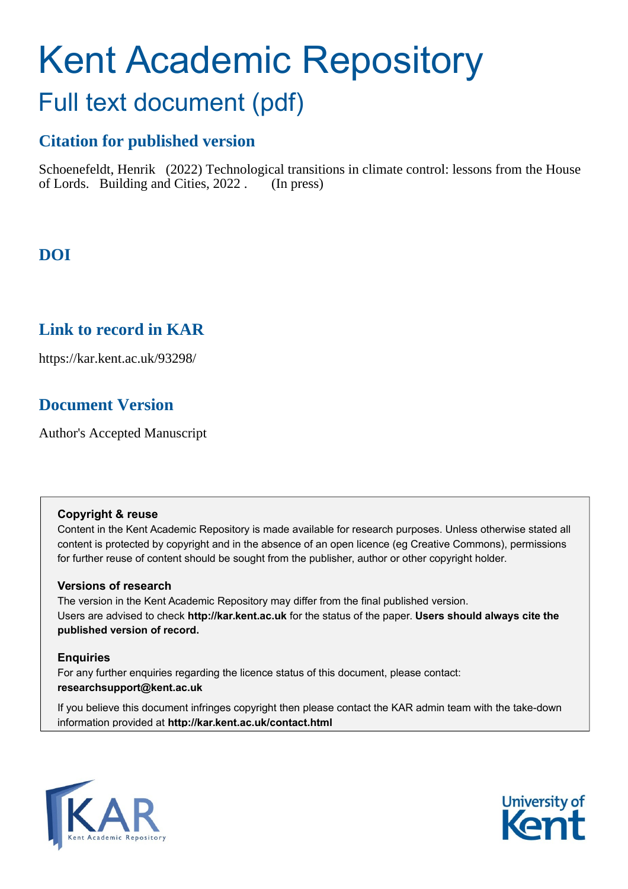# Kent Academic Repository Full text document (pdf)

# **Citation for published version**

Schoenefeldt, Henrik (2022) Technological transitions in climate control: lessons from the House of Lords. Building and Cities, 2022 . (In press)

# **DOI**

# **Link to record in KAR**

https://kar.kent.ac.uk/93298/

# **Document Version**

Author's Accepted Manuscript

### **Copyright & reuse**

Content in the Kent Academic Repository is made available for research purposes. Unless otherwise stated all content is protected by copyright and in the absence of an open licence (eg Creative Commons), permissions for further reuse of content should be sought from the publisher, author or other copyright holder.

### **Versions of research**

The version in the Kent Academic Repository may differ from the final published version. Users are advised to check **http://kar.kent.ac.uk** for the status of the paper. **Users should always cite the published version of record.**

### **Enquiries**

For any further enquiries regarding the licence status of this document, please contact: **researchsupport@kent.ac.uk**

If you believe this document infringes copyright then please contact the KAR admin team with the take-down information provided at **http://kar.kent.ac.uk/contact.html**



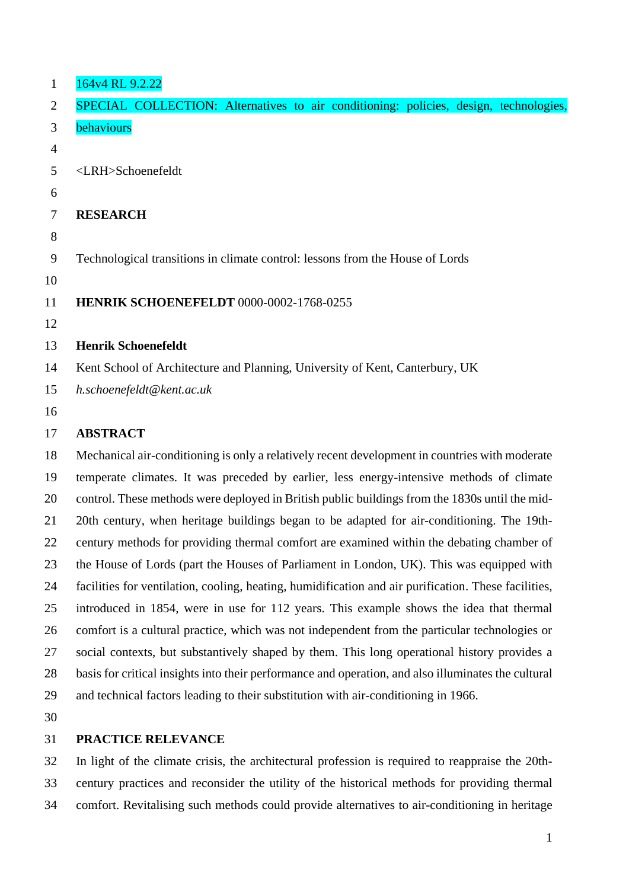| $\mathbf{1}$   | 164v4 RL 9.2.22                                                                                |
|----------------|------------------------------------------------------------------------------------------------|
| 2              | SPECIAL COLLECTION: Alternatives to air conditioning: policies, design, technologies,          |
| 3              | behaviours                                                                                     |
| $\overline{4}$ |                                                                                                |
| 5              | <lrh>Schoenefeldt</lrh>                                                                        |
| 6              |                                                                                                |
| $\overline{7}$ | <b>RESEARCH</b>                                                                                |
| 8              |                                                                                                |
| 9              | Technological transitions in climate control: lessons from the House of Lords                  |
| 10             |                                                                                                |
| 11             | HENRIK SCHOENEFELDT 0000-0002-1768-0255                                                        |
| 12             |                                                                                                |
| 13             | <b>Henrik Schoenefeldt</b>                                                                     |
| 14             | Kent School of Architecture and Planning, University of Kent, Canterbury, UK                   |
| 15             | h.schoenefeldt@kent.ac.uk                                                                      |
| 16             |                                                                                                |
| 17             | <b>ABSTRACT</b>                                                                                |
| 18             | Mechanical air-conditioning is only a relatively recent development in countries with moderate |
| 19             | temperate climates. It was preceded by earlier, less energy-intensive methods of climate       |
| 20             | control. These methods were deployed in British public buildings from the 1830s until the mid- |

 20th century, when heritage buildings began to be adapted for air-conditioning. The 19th- century methods for providing thermal comfort are examined within the debating chamber of the House of Lords (part the Houses of Parliament in London, UK). This was equipped with facilities for ventilation, cooling, heating, humidification and air purification. These facilities, introduced in 1854, were in use for 112 years. This example shows the idea that thermal

 comfort is a cultural practice, which was not independent from the particular technologies or social contexts, but substantively shaped by them. This long operational history provides a basis for critical insights into their performance and operation, and also illuminates the cultural and technical factors leading to their substitution with air-conditioning in 1966.

### **PRACTICE RELEVANCE**

 In light of the climate crisis, the architectural profession is required to reappraise the 20th- century practices and reconsider the utility of the historical methods for providing thermal comfort. Revitalising such methods could provide alternatives to air-conditioning in heritage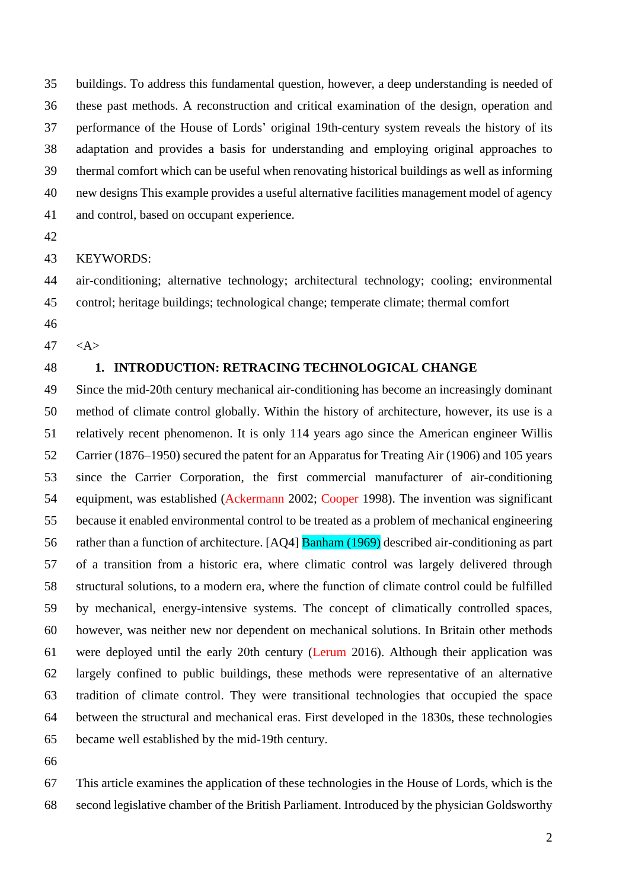buildings. To address this fundamental question, however, a deep understanding is needed of these past methods. A reconstruction and critical examination of the design, operation and performance of the House of Lords' original 19th-century system reveals the history of its adaptation and provides a basis for understanding and employing original approaches to thermal comfort which can be useful when renovating historical buildings as well as informing new designs This example provides a useful alternative facilities management model of agency and control, based on occupant experience.

KEYWORDS:

 air-conditioning; alternative technology; architectural technology; cooling; environmental control; heritage buildings; technological change; temperate climate; thermal comfort

- 
- $47 \leq A>$

### **1. INTRODUCTION: RETRACING TECHNOLOGICAL CHANGE**

 Since the mid-20th century mechanical air-conditioning has become an increasingly dominant method of climate control globally. Within the history of architecture, however, its use is a relatively recent phenomenon. It is only 114 years ago since the American engineer Willis Carrier (1876–1950) secured the patent for an Apparatus for Treating Air (1906) and 105 years since the Carrier Corporation, the first commercial manufacturer of air-conditioning equipment, was established (Ackermann 2002; Cooper 1998). The invention was significant because it enabled environmental control to be treated as a problem of mechanical engineering rather than a function of architecture. [AQ4] Banham (1969) described air-conditioning as part of a transition from a historic era, where climatic control was largely delivered through structural solutions, to a modern era, where the function of climate control could be fulfilled by mechanical, energy-intensive systems. The concept of climatically controlled spaces, however, was neither new nor dependent on mechanical solutions. In Britain other methods were deployed until the early 20th century (Lerum 2016). Although their application was largely confined to public buildings, these methods were representative of an alternative tradition of climate control. They were transitional technologies that occupied the space between the structural and mechanical eras. First developed in the 1830s, these technologies became well established by the mid-19th century.

 This article examines the application of these technologies in the House of Lords, which is the second legislative chamber of the British Parliament. Introduced by the physician Goldsworthy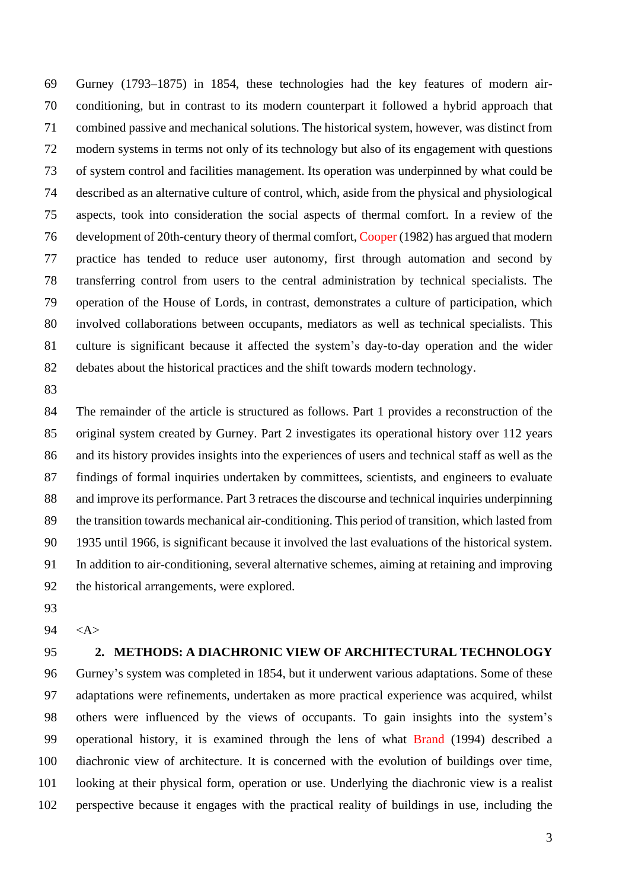Gurney (1793–1875) in 1854, these technologies had the key features of modern air- conditioning, but in contrast to its modern counterpart it followed a hybrid approach that combined passive and mechanical solutions. The historical system, however, was distinct from modern systems in terms not only of its technology but also of its engagement with questions of system control and facilities management. Its operation was underpinned by what could be described as an alternative culture of control, which, aside from the physical and physiological aspects, took into consideration the social aspects of thermal comfort. In a review of the development of 20th-century theory of thermal comfort, Cooper (1982) has argued that modern practice has tended to reduce user autonomy, first through automation and second by transferring control from users to the central administration by technical specialists. The operation of the House of Lords, in contrast, demonstrates a culture of participation, which involved collaborations between occupants, mediators as well as technical specialists. This culture is significant because it affected the system's day-to-day operation and the wider debates about the historical practices and the shift towards modern technology.

 The remainder of the article is structured as follows. Part 1 provides a reconstruction of the original system created by Gurney. Part 2 investigates its operational history over 112 years and its history provides insights into the experiences of users and technical staff as well as the findings of formal inquiries undertaken by committees, scientists, and engineers to evaluate 88 and improve its performance. Part 3 retraces the discourse and technical inquiries underpinning the transition towards mechanical air-conditioning. This period of transition, which lasted from 1935 until 1966, is significant because it involved the last evaluations of the historical system. In addition to air-conditioning, several alternative schemes, aiming at retaining and improving the historical arrangements, were explored.

- 
- <A>
- 

### **2. METHODS: A DIACHRONIC VIEW OF ARCHITECTURAL TECHNOLOGY**

 Gurney's system was completed in 1854, but it underwent various adaptations. Some of these adaptations were refinements, undertaken as more practical experience was acquired, whilst others were influenced by the views of occupants. To gain insights into the system's operational history, it is examined through the lens of what Brand (1994) described a diachronic view of architecture. It is concerned with the evolution of buildings over time, looking at their physical form, operation or use. Underlying the diachronic view is a realist perspective because it engages with the practical reality of buildings in use, including the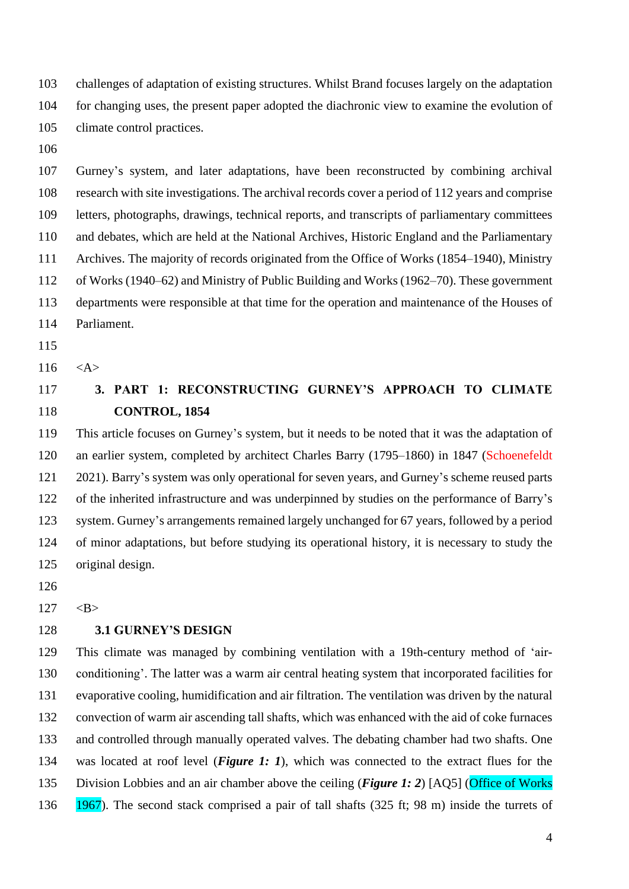challenges of adaptation of existing structures. Whilst Brand focuses largely on the adaptation for changing uses, the present paper adopted the diachronic view to examine the evolution of climate control practices.

 Gurney's system, and later adaptations, have been reconstructed by combining archival research with site investigations. The archival records cover a period of 112 years and comprise letters, photographs, drawings, technical reports, and transcripts of parliamentary committees and debates, which are held at the National Archives, Historic England and the Parliamentary Archives. The majority of records originated from the Office of Works (1854–1940), Ministry of Works (1940–62) and Ministry of Public Building and Works (1962–70). These government departments were responsible at that time for the operation and maintenance of the Houses of Parliament.

- 
- 116  $<\mathsf{A}\geq$
- 

## **3. PART 1: RECONSTRUCTING GURNEY'S APPROACH TO CLIMATE CONTROL, 1854**

 This article focuses on Gurney's system, but it needs to be noted that it was the adaptation of an earlier system, completed by architect Charles Barry (1795–1860) in 1847 (Schoenefeldt 2021). Barry's system was only operational for seven years, and Gurney's scheme reused parts of the inherited infrastructure and was underpinned by studies on the performance of Barry's system. Gurney's arrangements remained largely unchanged for 67 years, followed by a period of minor adaptations, but before studying its operational history, it is necessary to study the original design.

 $127 \, \times B$ 

### **3.1 GURNEY'S DESIGN**

 This climate was managed by combining ventilation with a 19th-century method of 'air- conditioning'. The latter was a warm air central heating system that incorporated facilities for evaporative cooling, humidification and air filtration. The ventilation was driven by the natural convection of warm air ascending tall shafts, which was enhanced with the aid of coke furnaces and controlled through manually operated valves. The debating chamber had two shafts. One was located at roof level (*Figure 1: 1*), which was connected to the extract flues for the Division Lobbies and an air chamber above the ceiling (*Figure 1: 2*) [AQ5] (Office of Works 1967). The second stack comprised a pair of tall shafts (325 ft; 98 m) inside the turrets of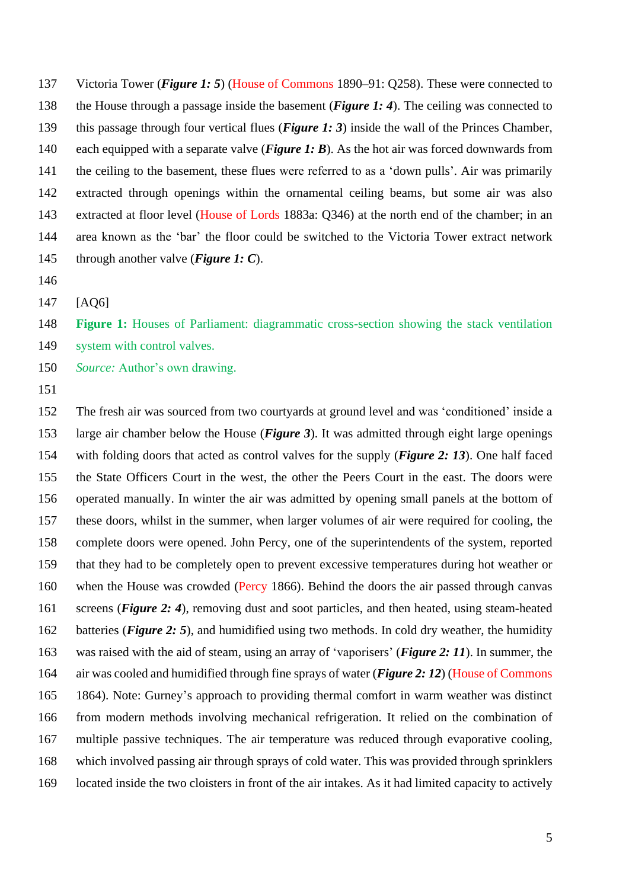Victoria Tower (*Figure 1: 5*) (House of Commons 1890–91: Q258). These were connected to the House through a passage inside the basement (*Figure 1: 4*). The ceiling was connected to this passage through four vertical flues (*Figure 1: 3*) inside the wall of the Princes Chamber, each equipped with a separate valve (*Figure 1: B*). As the hot air was forced downwards from the ceiling to the basement, these flues were referred to as a 'down pulls'. Air was primarily extracted through openings within the ornamental ceiling beams, but some air was also extracted at floor level (House of Lords 1883a: Q346) at the north end of the chamber; in an area known as the 'bar' the floor could be switched to the Victoria Tower extract network through another valve (*Figure 1: C*).

[AQ6]

 **Figure 1:** Houses of Parliament: diagrammatic cross-section showing the stack ventilation system with control valves.

*Source:* Author's own drawing.

 The fresh air was sourced from two courtyards at ground level and was 'conditioned' inside a large air chamber below the House (*Figure 3*). It was admitted through eight large openings with folding doors that acted as control valves for the supply (*Figure 2: 13*). One half faced the State Officers Court in the west, the other the Peers Court in the east. The doors were operated manually. In winter the air was admitted by opening small panels at the bottom of these doors, whilst in the summer, when larger volumes of air were required for cooling, the complete doors were opened. John Percy, one of the superintendents of the system, reported that they had to be completely open to prevent excessive temperatures during hot weather or when the House was crowded (Percy 1866). Behind the doors the air passed through canvas screens (*Figure 2: 4*), removing dust and soot particles, and then heated, using steam-heated batteries (*Figure 2: 5*), and humidified using two methods. In cold dry weather, the humidity was raised with the aid of steam, using an array of 'vaporisers' (*Figure 2: 11*). In summer, the air was cooled and humidified through fine sprays of water (*Figure 2: 12*) (House of Commons 1864). Note: Gurney's approach to providing thermal comfort in warm weather was distinct from modern methods involving mechanical refrigeration. It relied on the combination of multiple passive techniques. The air temperature was reduced through evaporative cooling, which involved passing air through sprays of cold water. This was provided through sprinklers located inside the two cloisters in front of the air intakes. As it had limited capacity to actively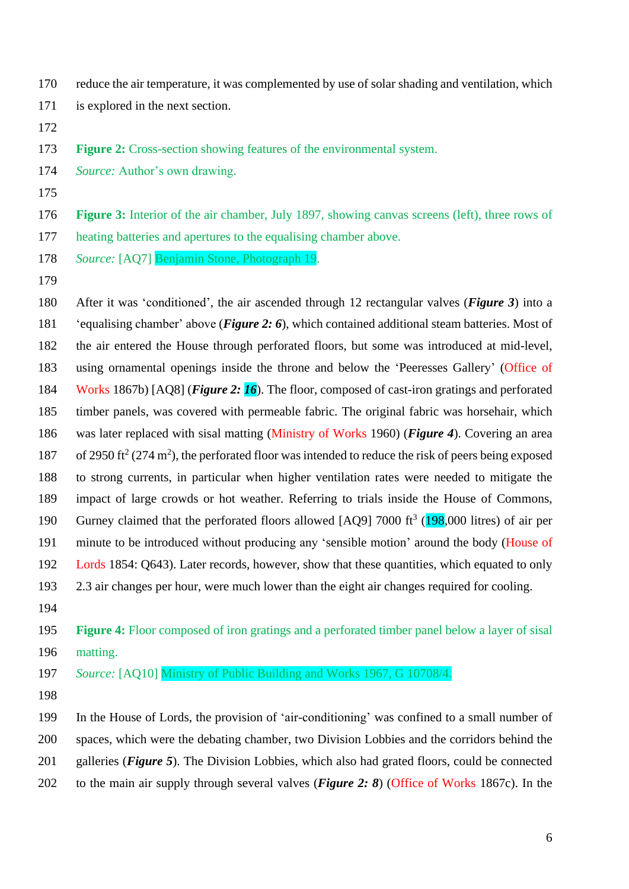- reduce the air temperature, it was complemented by use of solar shading and ventilation, which
- is explored in the next section.
- 

**Figure 2:** Cross-section showing features of the environmental system.

- *Source:* Author's own drawing.
- 

 **Figure 3:** Interior of the air chamber, July 1897, showing canvas screens (left), three rows of heating batteries and apertures to the equalising chamber above.

- *Source:* [AQ7] Benjamin Stone, Photograph 19.
- 

 After it was 'conditioned', the air ascended through 12 rectangular valves (*Figure 3*) into a 'equalising chamber' above (*Figure 2: 6*), which contained additional steam batteries. Most of the air entered the House through perforated floors, but some was introduced at mid-level, using ornamental openings inside the throne and below the 'Peeresses Gallery' (Office of Works 1867b) [AQ8] (*Figure 2: 16*). The floor, composed of cast-iron gratings and perforated timber panels, was covered with permeable fabric. The original fabric was horsehair, which was later replaced with sisal matting (Ministry of Works 1960) (*Figure 4*). Covering an area 187 of 2950 ft<sup>2</sup> (274 m<sup>2</sup>), the perforated floor was intended to reduce the risk of peers being exposed to strong currents, in particular when higher ventilation rates were needed to mitigate the impact of large crowds or hot weather. Referring to trials inside the House of Commons, 190 Gurney claimed that the perforated floors allowed  $[AQ9]$  7000 ft<sup>3</sup> (198,000 litres) of air per minute to be introduced without producing any 'sensible motion' around the body (House of Lords 1854: Q643). Later records, however, show that these quantities, which equated to only 2.3 air changes per hour, were much lower than the eight air changes required for cooling.

 **Figure 4:** Floor composed of iron gratings and a perforated timber panel below a layer of sisal matting.

*Source:* [AQ10] Ministry of Public Building and Works 1967, G 10708/4.

 In the House of Lords, the provision of 'air-conditioning' was confined to a small number of spaces, which were the debating chamber, two Division Lobbies and the corridors behind the galleries (*Figure 5*). The Division Lobbies, which also had grated floors, could be connected to the main air supply through several valves (*Figure 2: 8*) (Office of Works 1867c). In the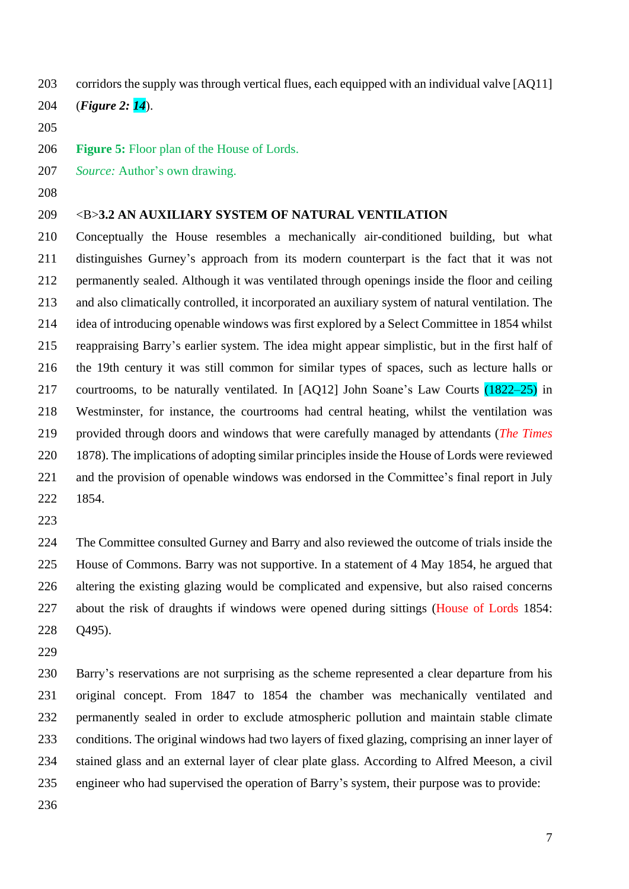- corridors the supply was through vertical flues, each equipped with an individual valve [AQ11]
- (*Figure 2: 14*).
- 
- **Figure 5:** Floor plan of the House of Lords.
- *Source:* Author's own drawing.
- 

### <B>**3.2 AN AUXILIARY SYSTEM OF NATURAL VENTILATION**

 Conceptually the House resembles a mechanically air-conditioned building, but what distinguishes Gurney's approach from its modern counterpart is the fact that it was not permanently sealed. Although it was ventilated through openings inside the floor and ceiling and also climatically controlled, it incorporated an auxiliary system of natural ventilation. The idea of introducing openable windows was first explored by a Select Committee in 1854 whilst reappraising Barry's earlier system. The idea might appear simplistic, but in the first half of the 19th century it was still common for similar types of spaces, such as lecture halls or courtrooms, to be naturally ventilated. In [AQ12] John Soane's Law Courts (1822–25) in Westminster, for instance, the courtrooms had central heating, whilst the ventilation was provided through doors and windows that were carefully managed by attendants (*The Times* 1878). The implications of adopting similar principles inside the House of Lords were reviewed and the provision of openable windows was endorsed in the Committee's final report in July 1854.

 The Committee consulted Gurney and Barry and also reviewed the outcome of trials inside the House of Commons. Barry was not supportive. In a statement of 4 May 1854, he argued that altering the existing glazing would be complicated and expensive, but also raised concerns about the risk of draughts if windows were opened during sittings (House of Lords 1854: Q495).

 Barry's reservations are not surprising as the scheme represented a clear departure from his original concept. From 1847 to 1854 the chamber was mechanically ventilated and permanently sealed in order to exclude atmospheric pollution and maintain stable climate conditions. The original windows had two layers of fixed glazing, comprising an inner layer of stained glass and an external layer of clear plate glass. According to Alfred Meeson, a civil engineer who had supervised the operation of Barry's system, their purpose was to provide: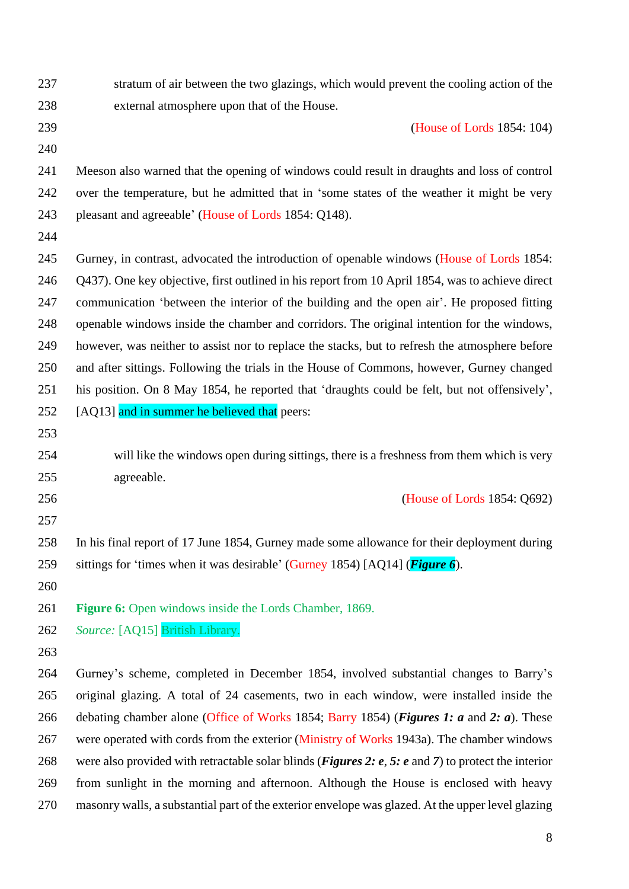| 237 | stratum of air between the two glazings, which would prevent the cooling action of the                       |
|-----|--------------------------------------------------------------------------------------------------------------|
| 238 | external atmosphere upon that of the House.                                                                  |
| 239 | (House of Lords 1854: 104)                                                                                   |
| 240 |                                                                                                              |
| 241 | Meeson also warned that the opening of windows could result in draughts and loss of control                  |
| 242 | over the temperature, but he admitted that in 'some states of the weather it might be very                   |
| 243 | pleasant and agreeable' (House of Lords 1854: Q148).                                                         |
| 244 |                                                                                                              |
| 245 | Gurney, in contrast, advocated the introduction of openable windows (House of Lords 1854:                    |
| 246 | Q437). One key objective, first outlined in his report from 10 April 1854, was to achieve direct             |
| 247 | communication 'between the interior of the building and the open air'. He proposed fitting                   |
| 248 | openable windows inside the chamber and corridors. The original intention for the windows,                   |
| 249 | however, was neither to assist nor to replace the stacks, but to refresh the atmosphere before               |
| 250 | and after sittings. Following the trials in the House of Commons, however, Gurney changed                    |
| 251 | his position. On 8 May 1854, he reported that 'draughts could be felt, but not offensively',                 |
| 252 | [AQ13] and in summer he believed that peers:                                                                 |
| 253 |                                                                                                              |
| 254 | will like the windows open during sittings, there is a freshness from them which is very                     |
| 255 | agreeable.                                                                                                   |
| 256 | (House of Lords 1854: Q692)                                                                                  |
| 257 |                                                                                                              |
| 258 | In his final report of 17 June 1854, Gurney made some allowance for their deployment during                  |
| 259 | sittings for 'times when it was desirable' (Gurney 1854) [AQ14] ( <b>Figure 6</b> ).                         |
| 260 |                                                                                                              |
| 261 | <b>Figure 6:</b> Open windows inside the Lords Chamber, 1869.                                                |
| 262 | Source: [AQ15] British Library.                                                                              |
| 263 |                                                                                                              |
| 264 | Gurney's scheme, completed in December 1854, involved substantial changes to Barry's                         |
| 265 | original glazing. A total of 24 casements, two in each window, were installed inside the                     |
| 266 | debating chamber alone (Office of Works 1854; Barry 1854) ( <i>Figures 1: a</i> and 2: <i>a</i> ). These     |
| 267 | were operated with cords from the exterior (Ministry of Works 1943a). The chamber windows                    |
| 268 | were also provided with retractable solar blinds ( <i>Figures 2: e, 5: e and 7</i> ) to protect the interior |
| 269 | from sunlight in the morning and afternoon. Although the House is enclosed with heavy                        |
| 270 | masonry walls, a substantial part of the exterior envelope was glazed. At the upper level glazing            |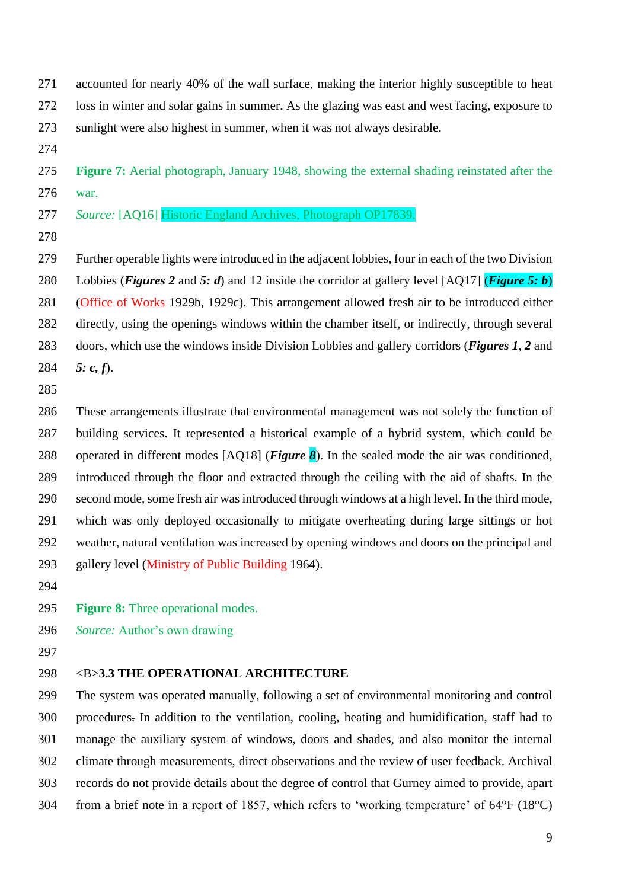accounted for nearly 40% of the wall surface, making the interior highly susceptible to heat loss in winter and solar gains in summer. As the glazing was east and west facing, exposure to sunlight were also highest in summer, when it was not always desirable.

 **Figure 7:** Aerial photograph, January 1948, showing the external shading reinstated after the war.

*Source:* [AQ16] Historic England Archives, Photograph OP17839.

 Further operable lights were introduced in the adjacent lobbies, four in each of the two Division Lobbies (*Figures 2* and *5: d*) and 12 inside the corridor at gallery level [AQ17] (*Figure 5: b*) (Office of Works 1929b, 1929c). This arrangement allowed fresh air to be introduced either directly, using the openings windows within the chamber itself, or indirectly, through several doors, which use the windows inside Division Lobbies and gallery corridors (*Figures 1*, *2* and *5: c, f*).

 These arrangements illustrate that environmental management was not solely the function of building services. It represented a historical example of a hybrid system, which could be operated in different modes [AQ18] (*Figure 8*). In the sealed mode the air was conditioned, introduced through the floor and extracted through the ceiling with the aid of shafts. In the second mode, some fresh air was introduced through windows at a high level. In the third mode, which was only deployed occasionally to mitigate overheating during large sittings or hot weather, natural ventilation was increased by opening windows and doors on the principal and gallery level (Ministry of Public Building 1964).

**Figure 8:** Three operational modes.

- *Source:* Author's own drawing
- 

### <B>**3.3 THE OPERATIONAL ARCHITECTURE**

 The system was operated manually, following a set of environmental monitoring and control procedures. In addition to the ventilation, cooling, heating and humidification, staff had to manage the auxiliary system of windows, doors and shades, and also monitor the internal climate through measurements, direct observations and the review of user feedback. Archival records do not provide details about the degree of control that Gurney aimed to provide, apart from a brief note in a report of 1857, which refers to 'working temperature' of 64°F (18°C)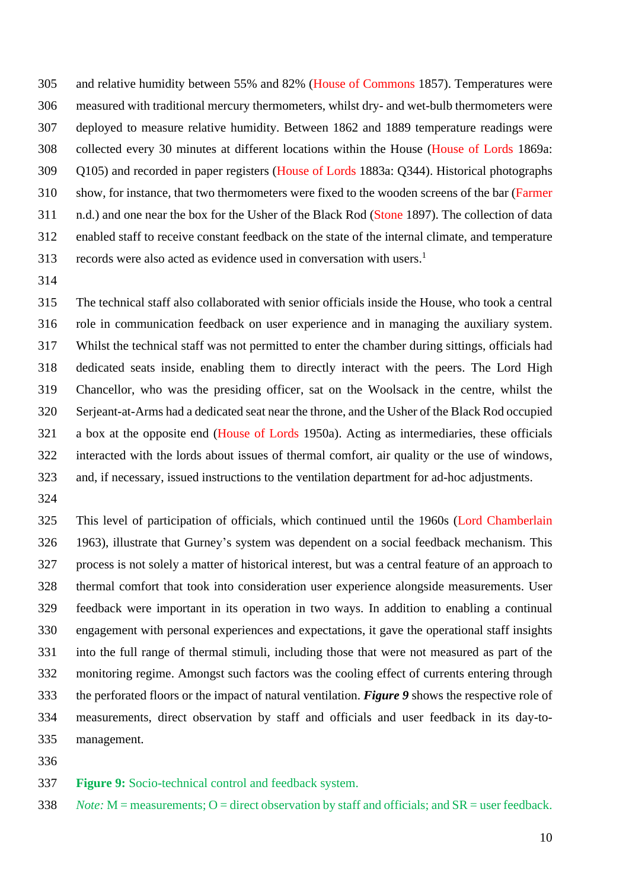and relative humidity between 55% and 82% (House of Commons 1857). Temperatures were measured with traditional mercury thermometers, whilst dry- and wet-bulb thermometers were deployed to measure relative humidity. Between 1862 and 1889 temperature readings were collected every 30 minutes at different locations within the House (House of Lords 1869a: Q105) and recorded in paper registers (House of Lords 1883a: Q344). Historical photographs show, for instance, that two thermometers were fixed to the wooden screens of the bar (Farmer n.d.) and one near the box for the Usher of the Black Rod (Stone 1897). The collection of data enabled staff to receive constant feedback on the state of the internal climate, and temperature 313 records were also acted as evidence used in conversation with users.<sup>1</sup>

 The technical staff also collaborated with senior officials inside the House, who took a central role in communication feedback on user experience and in managing the auxiliary system. Whilst the technical staff was not permitted to enter the chamber during sittings, officials had dedicated seats inside, enabling them to directly interact with the peers. The Lord High Chancellor, who was the presiding officer, sat on the Woolsack in the centre, whilst the Serjeant-at-Arms had a dedicated seat near the throne, and the Usher of the Black Rod occupied a box at the opposite end (House of Lords 1950a). Acting as intermediaries, these officials interacted with the lords about issues of thermal comfort, air quality or the use of windows, and, if necessary, issued instructions to the ventilation department for ad-hoc adjustments.

 This level of participation of officials, which continued until the 1960s (Lord Chamberlain 1963), illustrate that Gurney's system was dependent on a social feedback mechanism. This process is not solely a matter of historical interest, but was a central feature of an approach to thermal comfort that took into consideration user experience alongside measurements. User feedback were important in its operation in two ways. In addition to enabling a continual engagement with personal experiences and expectations, it gave the operational staff insights into the full range of thermal stimuli, including those that were not measured as part of the monitoring regime. Amongst such factors was the cooling effect of currents entering through the perforated floors or the impact of natural ventilation. *Figure 9* shows the respective role of measurements, direct observation by staff and officials and user feedback in its day-to-management.

**Figure 9:** Socio-technical control and feedback system.

*Note:* M = measurements; O = direct observation by staff and officials; and SR = user feedback.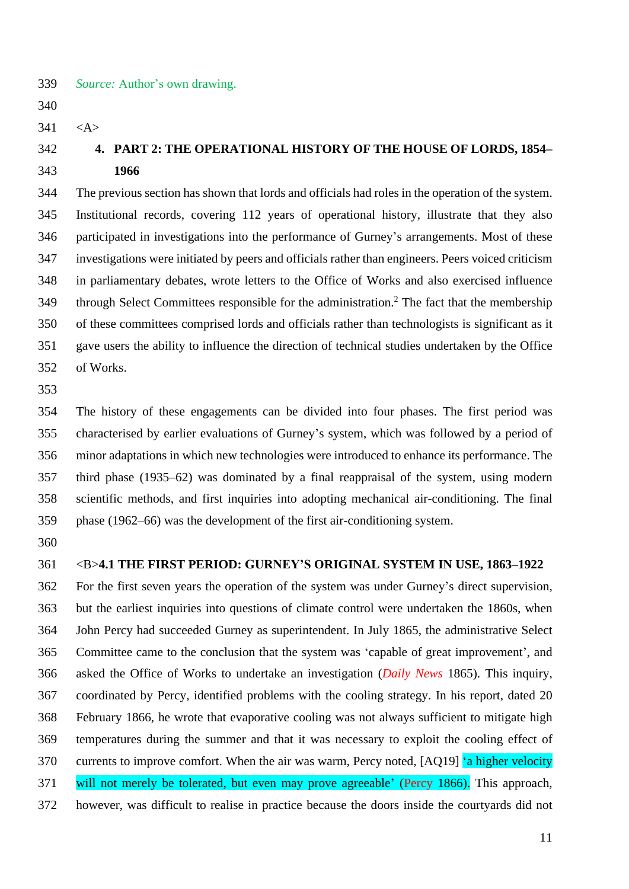- *Source:* Author's own drawing.
- $341 \leq A >$

# **4. PART 2: THE OPERATIONAL HISTORY OF THE HOUSE OF LORDS, 1854– 1966**

 The previous section has shown that lords and officials had roles in the operation of the system. Institutional records, covering 112 years of operational history, illustrate that they also participated in investigations into the performance of Gurney's arrangements. Most of these investigations were initiated by peers and officials rather than engineers. Peers voiced criticism in parliamentary debates, wrote letters to the Office of Works and also exercised influence 349 through Select Committees responsible for the administration.<sup>2</sup> The fact that the membership of these committees comprised lords and officials rather than technologists is significant as it gave users the ability to influence the direction of technical studies undertaken by the Office of Works.

 The history of these engagements can be divided into four phases. The first period was characterised by earlier evaluations of Gurney's system, which was followed by a period of minor adaptations in which new technologies were introduced to enhance its performance. The third phase (1935–62) was dominated by a final reappraisal of the system, using modern scientific methods, and first inquiries into adopting mechanical air-conditioning. The final phase (1962–66) was the development of the first air-conditioning system.

### <B>**4.1 THE FIRST PERIOD: GURNEY'S ORIGINAL SYSTEM IN USE, 1863–1922**

 For the first seven years the operation of the system was under Gurney's direct supervision, but the earliest inquiries into questions of climate control were undertaken the 1860s, when John Percy had succeeded Gurney as superintendent. In July 1865, the administrative Select Committee came to the conclusion that the system was 'capable of great improvement', and asked the Office of Works to undertake an investigation (*Daily News* 1865). This inquiry, coordinated by Percy, identified problems with the cooling strategy. In his report, dated 20 February 1866, he wrote that evaporative cooling was not always sufficient to mitigate high temperatures during the summer and that it was necessary to exploit the cooling effect of 370 currents to improve comfort. When the air was warm, Percy noted, [AQ19] 'a higher velocity will not merely be tolerated, but even may prove agreeable' (Percy 1866). This approach, however, was difficult to realise in practice because the doors inside the courtyards did not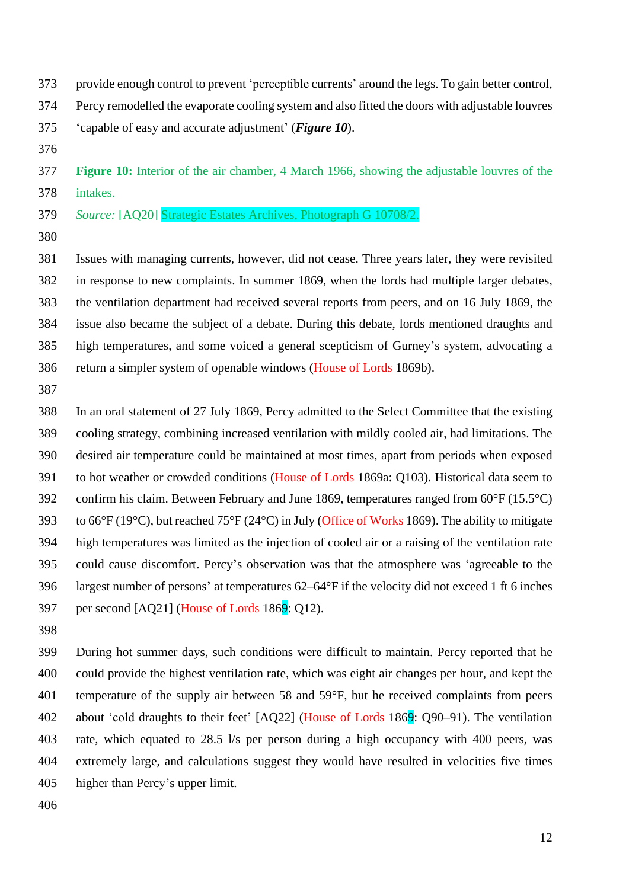- provide enough control to prevent 'perceptible currents' around the legs. To gain better control,
- Percy remodelled the evaporate cooling system and also fitted the doors with adjustable louvres
- 'capable of easy and accurate adjustment' (*Figure 10*).
- 

 **Figure 10:** Interior of the air chamber, 4 March 1966, showing the adjustable louvres of the intakes.

- *Source:* [AQ20] Strategic Estates Archives, Photograph G 10708/2.
- 

 Issues with managing currents, however, did not cease. Three years later, they were revisited in response to new complaints. In summer 1869, when the lords had multiple larger debates, the ventilation department had received several reports from peers, and on 16 July 1869, the issue also became the subject of a debate. During this debate, lords mentioned draughts and high temperatures, and some voiced a general scepticism of Gurney's system, advocating a return a simpler system of openable windows (House of Lords 1869b).

 In an oral statement of 27 July 1869, Percy admitted to the Select Committee that the existing cooling strategy, combining increased ventilation with mildly cooled air, had limitations. The desired air temperature could be maintained at most times, apart from periods when exposed to hot weather or crowded conditions (House of Lords 1869a: Q103). Historical data seem to confirm his claim. Between February and June 1869, temperatures ranged from 60°F (15.5°C) to 66°F (19°C), but reached 75°F (24°C) in July (Office of Works 1869). The ability to mitigate high temperatures was limited as the injection of cooled air or a raising of the ventilation rate could cause discomfort. Percy's observation was that the atmosphere was 'agreeable to the largest number of persons' at temperatures 62–64°F if the velocity did not exceed 1 ft 6 inches 397 per second  $[AQ21]$  (House of Lords 1869: Q12).

 During hot summer days, such conditions were difficult to maintain. Percy reported that he could provide the highest ventilation rate, which was eight air changes per hour, and kept the temperature of the supply air between 58 and 59°F, but he received complaints from peers about 'cold draughts to their feet' [AQ22] (House of Lords 1869: Q90–91). The ventilation rate, which equated to 28.5 l/s per person during a high occupancy with 400 peers, was extremely large, and calculations suggest they would have resulted in velocities five times higher than Percy's upper limit.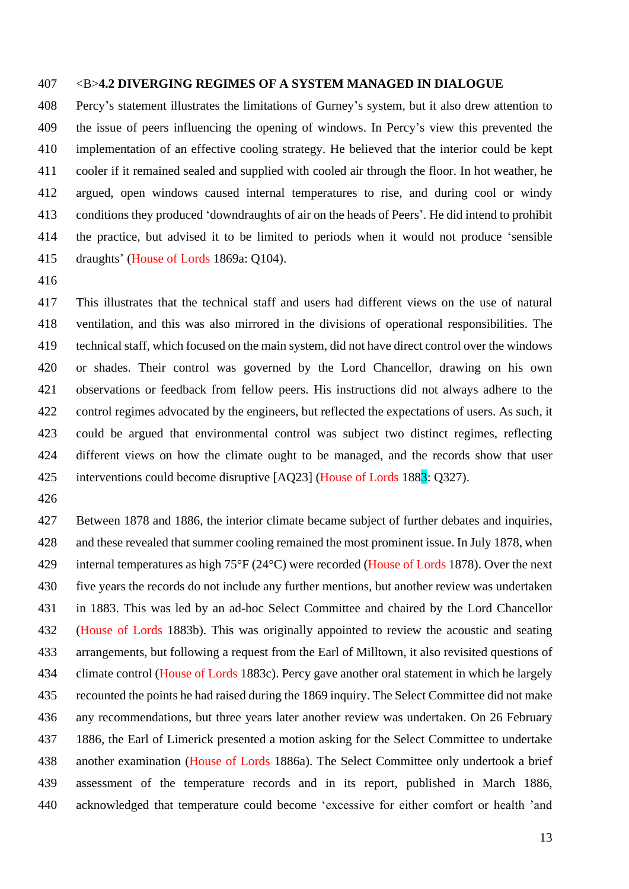### <B>**4.2 DIVERGING REGIMES OF A SYSTEM MANAGED IN DIALOGUE**

 Percy's statement illustrates the limitations of Gurney's system, but it also drew attention to the issue of peers influencing the opening of windows. In Percy's view this prevented the implementation of an effective cooling strategy. He believed that the interior could be kept cooler if it remained sealed and supplied with cooled air through the floor. In hot weather, he argued, open windows caused internal temperatures to rise, and during cool or windy conditions they produced 'downdraughts of air on the heads of Peers'. He did intend to prohibit the practice, but advised it to be limited to periods when it would not produce 'sensible draughts' (House of Lords 1869a: Q104).

 This illustrates that the technical staff and users had different views on the use of natural ventilation, and this was also mirrored in the divisions of operational responsibilities. The technical staff, which focused on the main system, did not have direct control over the windows or shades. Their control was governed by the Lord Chancellor, drawing on his own observations or feedback from fellow peers. His instructions did not always adhere to the control regimes advocated by the engineers, but reflected the expectations of users. As such, it could be argued that environmental control was subject two distinct regimes, reflecting different views on how the climate ought to be managed, and the records show that user interventions could become disruptive [AQ23] (House of Lords 1883: Q327).

 Between 1878 and 1886, the interior climate became subject of further debates and inquiries, and these revealed that summer cooling remained the most prominent issue. In July 1878, when internal temperatures as high 75°F (24°C) were recorded (House of Lords 1878). Over the next five years the records do not include any further mentions, but another review was undertaken in 1883. This was led by an ad-hoc Select Committee and chaired by the Lord Chancellor (House of Lords 1883b). This was originally appointed to review the acoustic and seating arrangements, but following a request from the Earl of Milltown, it also revisited questions of climate control (House of Lords 1883c). Percy gave another oral statement in which he largely recounted the points he had raised during the 1869 inquiry. The Select Committee did not make any recommendations, but three years later another review was undertaken. On 26 February 1886, the Earl of Limerick presented a motion asking for the Select Committee to undertake another examination (House of Lords 1886a). The Select Committee only undertook a brief assessment of the temperature records and in its report, published in March 1886, acknowledged that temperature could become 'excessive for either comfort or health 'and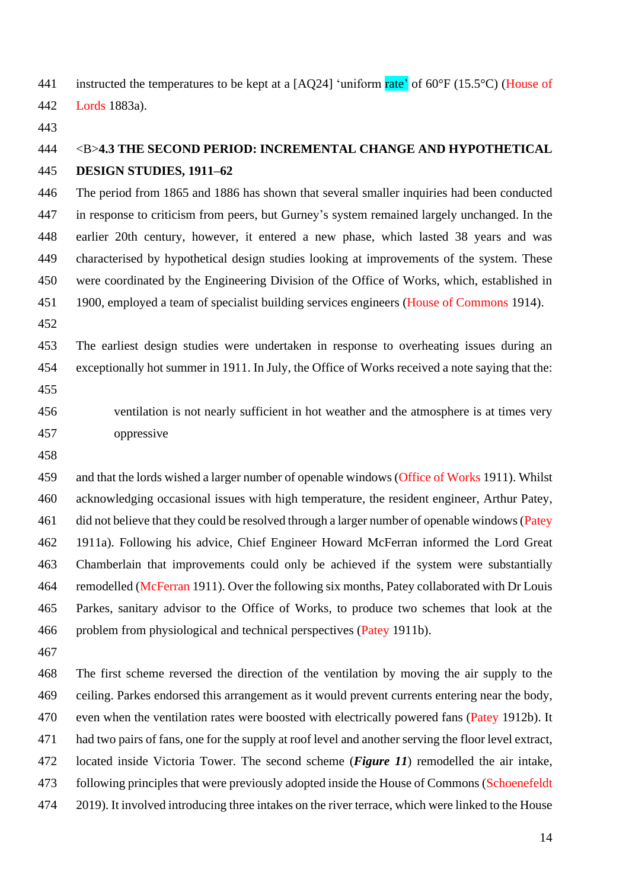441 instructed the temperatures to be kept at a  $[AQ24]$  'uniform rate' of 60°F (15.5°C) (House of Lords 1883a).

# <B>**4.3 THE SECOND PERIOD: INCREMENTAL CHANGE AND HYPOTHETICAL DESIGN STUDIES, 1911–62**

 The period from 1865 and 1886 has shown that several smaller inquiries had been conducted in response to criticism from peers, but Gurney's system remained largely unchanged. In the earlier 20th century, however, it entered a new phase, which lasted 38 years and was characterised by hypothetical design studies looking at improvements of the system. These were coordinated by the Engineering Division of the Office of Works, which, established in 1900, employed a team of specialist building services engineers (House of Commons 1914).

 The earliest design studies were undertaken in response to overheating issues during an exceptionally hot summer in 1911. In July, the Office of Works received a note saying that the: 

 ventilation is not nearly sufficient in hot weather and the atmosphere is at times very oppressive

 and that the lords wished a larger number of openable windows (Office of Works 1911). Whilst acknowledging occasional issues with high temperature, the resident engineer, Arthur Patey, 461 did not believe that they could be resolved through a larger number of openable windows (Patey 1911a). Following his advice, Chief Engineer Howard McFerran informed the Lord Great Chamberlain that improvements could only be achieved if the system were substantially remodelled (McFerran 1911). Over the following six months, Patey collaborated with Dr Louis Parkes, sanitary advisor to the Office of Works, to produce two schemes that look at the problem from physiological and technical perspectives (Patey 1911b).

 The first scheme reversed the direction of the ventilation by moving the air supply to the ceiling. Parkes endorsed this arrangement as it would prevent currents entering near the body, 470 even when the ventilation rates were boosted with electrically powered fans (Patey 1912b). It had two pairs of fans, one for the supply at roof level and another serving the floor level extract, located inside Victoria Tower. The second scheme (*Figure 11*) remodelled the air intake, following principles that were previously adopted inside the House of Commons (Schoenefeldt 2019). It involved introducing three intakes on the river terrace, which were linked to the House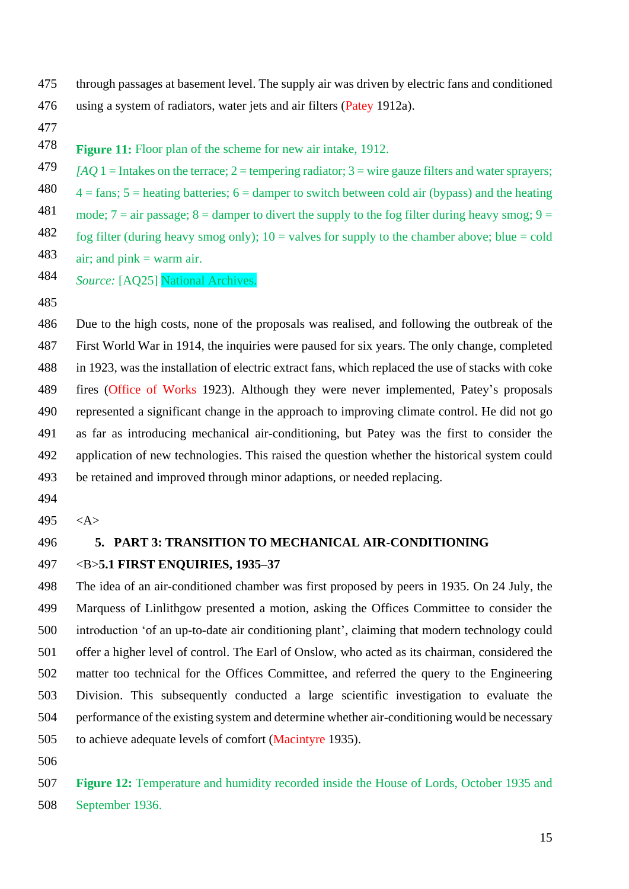- through passages at basement level. The supply air was driven by electric fans and conditioned using a system of radiators, water jets and air filters (Patey 1912a).
- 

**Figure 11:** Floor plan of the scheme for new air intake, 1912. 

<sup>479</sup>  $[AO] =$  Intakes on the terrace; 2 = tempering radiator; 3 = wire gauze filters and water sprayers; 480  $4 = \text{fans}$ ;  $5 = \text{heating batteries}$ ;  $6 = \text{damped to switch between cold air (bypass) and the heating}$ mode;  $7 = \text{air passage}$ ;  $8 = \text{damped to direct the supply to the fog filter during heavy smog}$ ;  $9 =$ 

482 fog filter (during heavy smog only);  $10 =$  valves for supply to the chamber above; blue = cold 

- air; and  $\text{pink} = \text{warm}$  air.
- *Source:* [AQ25] National Archives.
- 

 Due to the high costs, none of the proposals was realised, and following the outbreak of the First World War in 1914, the inquiries were paused for six years. The only change, completed in 1923, was the installation of electric extract fans, which replaced the use of stacks with coke fires (Office of Works 1923). Although they were never implemented, Patey's proposals represented a significant change in the approach to improving climate control. He did not go as far as introducing mechanical air-conditioning, but Patey was the first to consider the application of new technologies. This raised the question whether the historical system could be retained and improved through minor adaptions, or needed replacing.

- 
- <A>

# **5. PART 3: TRANSITION TO MECHANICAL AIR-CONDITIONING** <B>**5.1 FIRST ENQUIRIES, 1935–37**

 The idea of an air-conditioned chamber was first proposed by peers in 1935. On 24 July, the Marquess of Linlithgow presented a motion, asking the Offices Committee to consider the introduction 'of an up-to-date air conditioning plant', claiming that modern technology could offer a higher level of control. The Earl of Onslow, who acted as its chairman, considered the matter too technical for the Offices Committee, and referred the query to the Engineering Division. This subsequently conducted a large scientific investigation to evaluate the performance of the existing system and determine whether air-conditioning would be necessary to achieve adequate levels of comfort (Macintyre 1935).

 **Figure 12:** Temperature and humidity recorded inside the House of Lords, October 1935 and September 1936.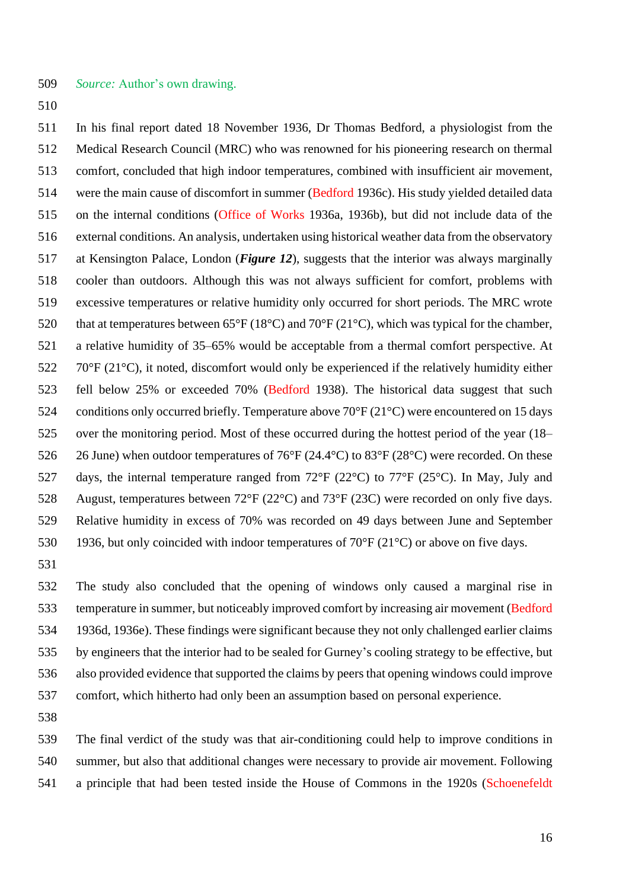*Source:* Author's own drawing.

 In his final report dated 18 November 1936, Dr Thomas Bedford, a physiologist from the Medical Research Council (MRC) who was renowned for his pioneering research on thermal comfort, concluded that high indoor temperatures, combined with insufficient air movement, were the main cause of discomfort in summer (Bedford 1936c). His study yielded detailed data on the internal conditions (Office of Works 1936a, 1936b), but did not include data of the external conditions. An analysis, undertaken using historical weather data from the observatory at Kensington Palace, London (*Figure 12*), suggests that the interior was always marginally cooler than outdoors. Although this was not always sufficient for comfort, problems with excessive temperatures or relative humidity only occurred for short periods. The MRC wrote 520 that at temperatures between 65°F (18°C) and 70°F (21°C), which was typical for the chamber, a relative humidity of 35–65% would be acceptable from a thermal comfort perspective. At 70°F (21°C), it noted, discomfort would only be experienced if the relatively humidity either fell below 25% or exceeded 70% (Bedford 1938). The historical data suggest that such conditions only occurred briefly. Temperature above 70°F (21°C) were encountered on 15 days over the monitoring period. Most of these occurred during the hottest period of the year (18– 526 26 June) when outdoor temperatures of 76°F (24.4°C) to 83°F (28°C) were recorded. On these days, the internal temperature ranged from 72°F (22°C) to 77°F (25°C). In May, July and August, temperatures between 72°F (22°C) and 73°F (23C) were recorded on only five days. Relative humidity in excess of 70% was recorded on 49 days between June and September 530 1936, but only coincided with indoor temperatures of 70°F (21°C) or above on five days.

 The study also concluded that the opening of windows only caused a marginal rise in temperature in summer, but noticeably improved comfort by increasing air movement (Bedford 1936d, 1936e). These findings were significant because they not only challenged earlier claims by engineers that the interior had to be sealed for Gurney's cooling strategy to be effective, but also provided evidence that supported the claims by peers that opening windows could improve comfort, which hitherto had only been an assumption based on personal experience.

 The final verdict of the study was that air-conditioning could help to improve conditions in summer, but also that additional changes were necessary to provide air movement. Following a principle that had been tested inside the House of Commons in the 1920s (Schoenefeldt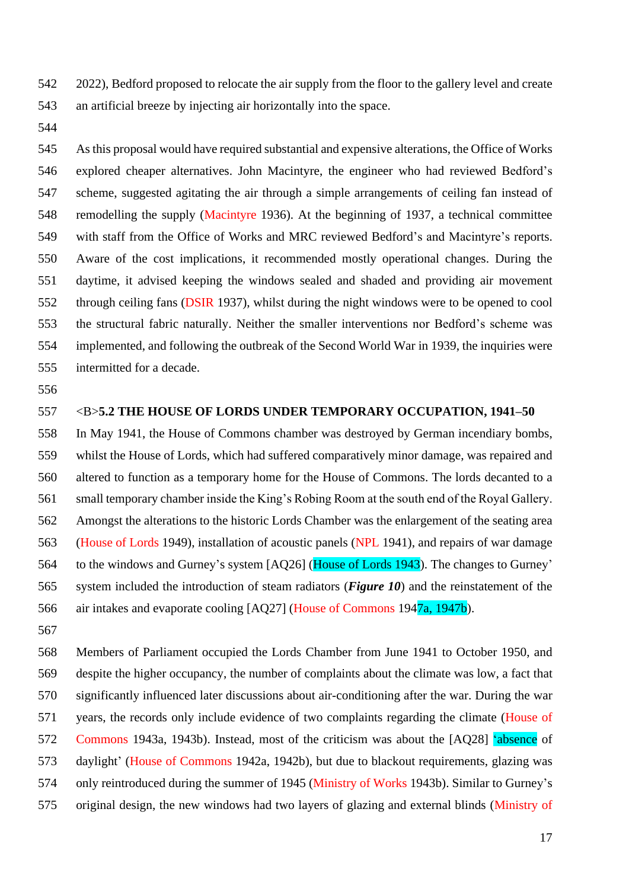2022), Bedford proposed to relocate the air supply from the floor to the gallery level and create an artificial breeze by injecting air horizontally into the space.

 As this proposal would have required substantial and expensive alterations, the Office of Works explored cheaper alternatives. John Macintyre, the engineer who had reviewed Bedford's scheme, suggested agitating the air through a simple arrangements of ceiling fan instead of remodelling the supply (Macintyre 1936). At the beginning of 1937, a technical committee with staff from the Office of Works and MRC reviewed Bedford's and Macintyre's reports. Aware of the cost implications, it recommended mostly operational changes. During the daytime, it advised keeping the windows sealed and shaded and providing air movement through ceiling fans (DSIR 1937), whilst during the night windows were to be opened to cool the structural fabric naturally. Neither the smaller interventions nor Bedford's scheme was implemented, and following the outbreak of the Second World War in 1939, the inquiries were intermitted for a decade.

### <B>**5.2 THE HOUSE OF LORDS UNDER TEMPORARY OCCUPATION, 1941–50**

 In May 1941, the House of Commons chamber was destroyed by German incendiary bombs, whilst the House of Lords, which had suffered comparatively minor damage, was repaired and altered to function as a temporary home for the House of Commons. The lords decanted to a small temporary chamber inside the King's Robing Room at the south end of the Royal Gallery. Amongst the alterations to the historic Lords Chamber was the enlargement of the seating area (House of Lords 1949), installation of acoustic panels (NPL 1941), and repairs of war damage 564 to the windows and Gurney's system [AQ26] (House of Lords 1943). The changes to Gurney' system included the introduction of steam radiators (*Figure 10*) and the reinstatement of the air intakes and evaporate cooling [AQ27] (House of Commons 1947a, 1947b).

 Members of Parliament occupied the Lords Chamber from June 1941 to October 1950, and despite the higher occupancy, the number of complaints about the climate was low, a fact that significantly influenced later discussions about air-conditioning after the war. During the war years, the records only include evidence of two complaints regarding the climate (House of Commons 1943a, 1943b). Instead, most of the criticism was about the [AQ28] 'absence of daylight' (House of Commons 1942a, 1942b), but due to blackout requirements, glazing was only reintroduced during the summer of 1945 (Ministry of Works 1943b). Similar to Gurney's original design, the new windows had two layers of glazing and external blinds (Ministry of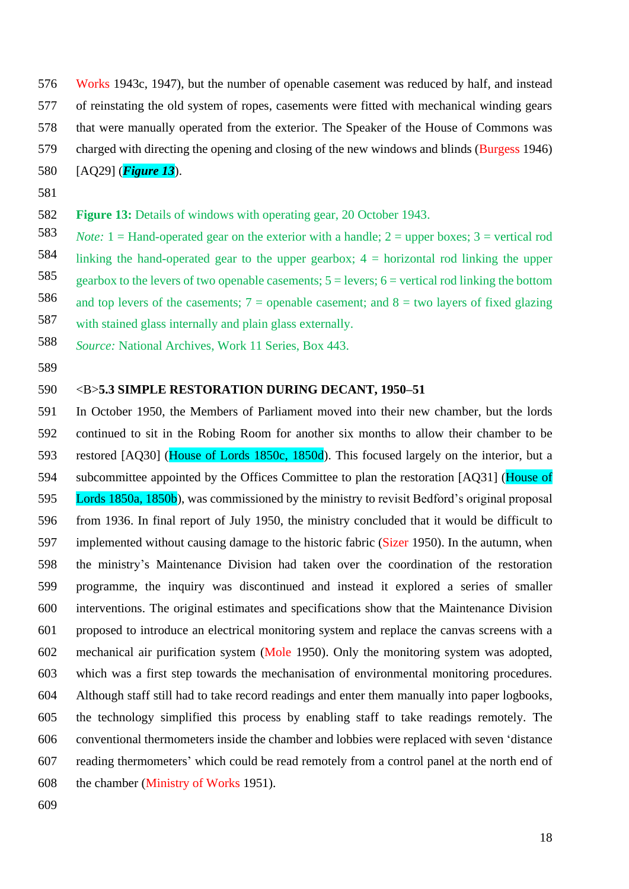Works 1943c, 1947), but the number of openable casement was reduced by half, and instead of reinstating the old system of ropes, casements were fitted with mechanical winding gears that were manually operated from the exterior. The Speaker of the House of Commons was charged with directing the opening and closing of the new windows and blinds (Burgess 1946)

- [AQ29] (*Figure 13*).
- 
- **Figure 13:** Details of windows with operating gear, 20 October 1943.
- *Note:* 1 = Hand-operated gear on the exterior with a handle; 2 = upper boxes; 3 = vertical rod 584 linking the hand-operated gear to the upper gearbox;  $4 =$  horizontal rod linking the upper 585 gearbox to the levers of two openable casements;  $5 =$  levers;  $6 =$  vertical rod linking the bottom 586 and top levers of the casements;  $7 =$  openable casement; and  $8 =$  two layers of fixed glazing 587 with stained glass internally and plain glass externally.
- *Source:* National Archives, Work 11 Series, Box 443.
- 

### <B>**5.3 SIMPLE RESTORATION DURING DECANT, 1950–51**

 In October 1950, the Members of Parliament moved into their new chamber, but the lords continued to sit in the Robing Room for another six months to allow their chamber to be restored [AQ30] (House of Lords 1850c, 1850d). This focused largely on the interior, but a 594 subcommittee appointed by the Offices Committee to plan the restoration [AQ31] (House of Lords 1850a, 1850b), was commissioned by the ministry to revisit Bedford's original proposal from 1936. In final report of July 1950, the ministry concluded that it would be difficult to 597 implemented without causing damage to the historic fabric (Sizer 1950). In the autumn, when the ministry's Maintenance Division had taken over the coordination of the restoration programme, the inquiry was discontinued and instead it explored a series of smaller interventions. The original estimates and specifications show that the Maintenance Division proposed to introduce an electrical monitoring system and replace the canvas screens with a mechanical air purification system (Mole 1950). Only the monitoring system was adopted, which was a first step towards the mechanisation of environmental monitoring procedures. Although staff still had to take record readings and enter them manually into paper logbooks, the technology simplified this process by enabling staff to take readings remotely. The conventional thermometers inside the chamber and lobbies were replaced with seven 'distance reading thermometers' which could be read remotely from a control panel at the north end of the chamber (Ministry of Works 1951).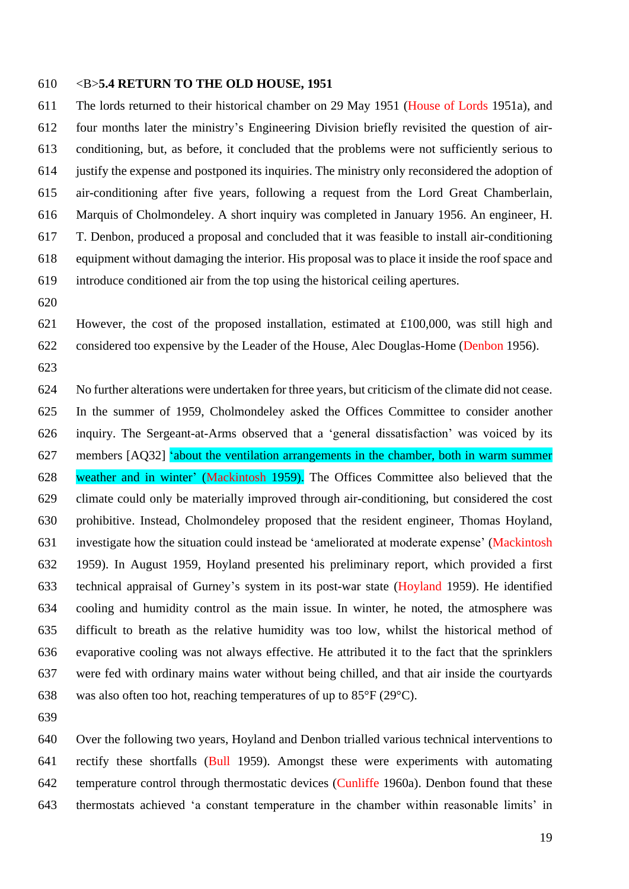### <B>**5.4 RETURN TO THE OLD HOUSE, 1951**

 The lords returned to their historical chamber on 29 May 1951 (House of Lords 1951a), and four months later the ministry's Engineering Division briefly revisited the question of air- conditioning, but, as before, it concluded that the problems were not sufficiently serious to justify the expense and postponed its inquiries. The ministry only reconsidered the adoption of air-conditioning after five years, following a request from the Lord Great Chamberlain, Marquis of Cholmondeley. A short inquiry was completed in January 1956. An engineer, H. T. Denbon, produced a proposal and concluded that it was feasible to install air-conditioning equipment without damaging the interior. His proposal was to place it inside the roof space and introduce conditioned air from the top using the historical ceiling apertures.

 However, the cost of the proposed installation, estimated at £100,000, was still high and considered too expensive by the Leader of the House, Alec Douglas-Home (Denbon 1956).

 No further alterations were undertaken for three years, but criticism of the climate did not cease. In the summer of 1959, Cholmondeley asked the Offices Committee to consider another inquiry. The Sergeant-at-Arms observed that a 'general dissatisfaction' was voiced by its members [AQ32] 'about the ventilation arrangements in the chamber, both in warm summer weather and in winter' (Mackintosh 1959). The Offices Committee also believed that the climate could only be materially improved through air-conditioning, but considered the cost prohibitive. Instead, Cholmondeley proposed that the resident engineer, Thomas Hoyland, investigate how the situation could instead be 'ameliorated at moderate expense' (Mackintosh 1959). In August 1959, Hoyland presented his preliminary report, which provided a first technical appraisal of Gurney's system in its post-war state (Hoyland 1959). He identified cooling and humidity control as the main issue. In winter, he noted, the atmosphere was difficult to breath as the relative humidity was too low, whilst the historical method of evaporative cooling was not always effective. He attributed it to the fact that the sprinklers were fed with ordinary mains water without being chilled, and that air inside the courtyards 638 was also often too hot, reaching temperatures of up to  $85^{\circ}F(29^{\circ}C)$ .

 Over the following two years, Hoyland and Denbon trialled various technical interventions to rectify these shortfalls (Bull 1959). Amongst these were experiments with automating temperature control through thermostatic devices (Cunliffe 1960a). Denbon found that these thermostats achieved 'a constant temperature in the chamber within reasonable limits' in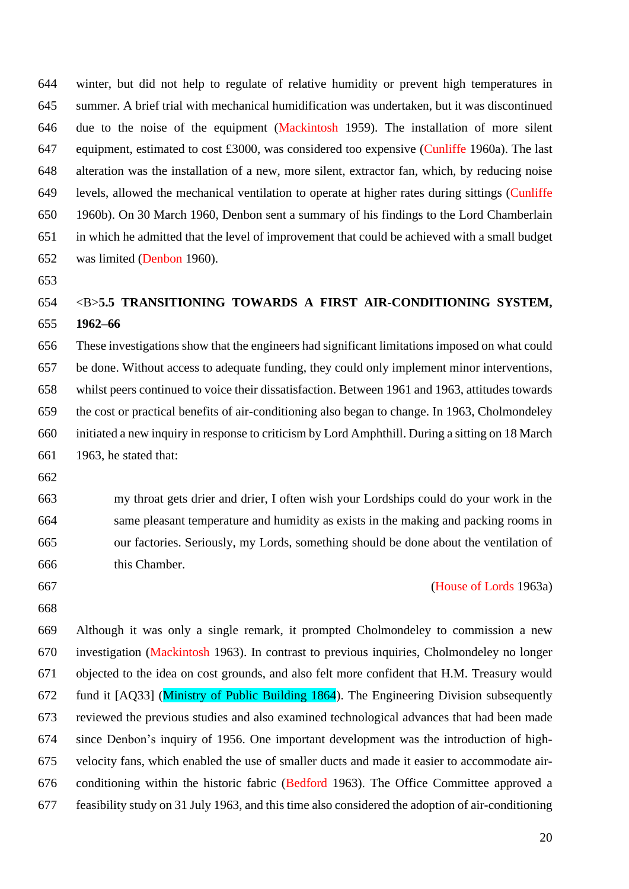winter, but did not help to regulate of relative humidity or prevent high temperatures in summer. A brief trial with mechanical humidification was undertaken, but it was discontinued due to the noise of the equipment (Mackintosh 1959). The installation of more silent equipment, estimated to cost £3000, was considered too expensive (Cunliffe 1960a). The last alteration was the installation of a new, more silent, extractor fan, which, by reducing noise levels, allowed the mechanical ventilation to operate at higher rates during sittings (Cunliffe 1960b). On 30 March 1960, Denbon sent a summary of his findings to the Lord Chamberlain in which he admitted that the level of improvement that could be achieved with a small budget was limited (Denbon 1960).

# <B>**5.5 TRANSITIONING TOWARDS A FIRST AIR-CONDITIONING SYSTEM, 1962–66**

 These investigations show that the engineers had significant limitations imposed on what could be done. Without access to adequate funding, they could only implement minor interventions, whilst peers continued to voice their dissatisfaction. Between 1961 and 1963, attitudes towards the cost or practical benefits of air-conditioning also began to change. In 1963, Cholmondeley initiated a new inquiry in response to criticism by Lord Amphthill. During a sitting on 18 March 1963, he stated that:

 my throat gets drier and drier, I often wish your Lordships could do your work in the same pleasant temperature and humidity as exists in the making and packing rooms in our factories. Seriously, my Lords, something should be done about the ventilation of this Chamber.

- 
- 

### (House of Lords 1963a)

 Although it was only a single remark, it prompted Cholmondeley to commission a new investigation (Mackintosh 1963). In contrast to previous inquiries, Cholmondeley no longer objected to the idea on cost grounds, and also felt more confident that H.M. Treasury would fund it [AQ33] (Ministry of Public Building 1864). The Engineering Division subsequently reviewed the previous studies and also examined technological advances that had been made since Denbon's inquiry of 1956. One important development was the introduction of high- velocity fans, which enabled the use of smaller ducts and made it easier to accommodate air- conditioning within the historic fabric (Bedford 1963). The Office Committee approved a feasibility study on 31 July 1963, and this time also considered the adoption of air-conditioning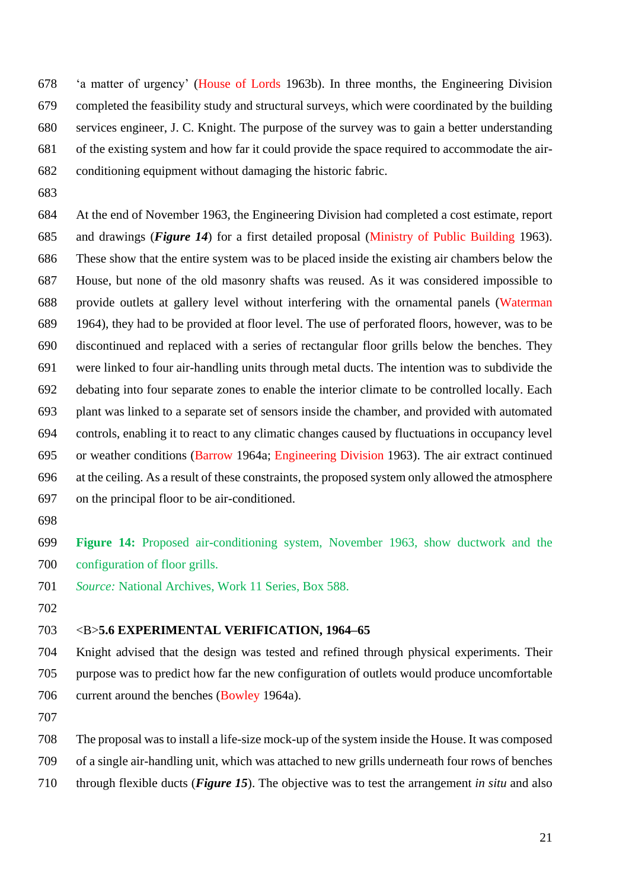'a matter of urgency' (House of Lords 1963b). In three months, the Engineering Division completed the feasibility study and structural surveys, which were coordinated by the building services engineer, J. C. Knight. The purpose of the survey was to gain a better understanding of the existing system and how far it could provide the space required to accommodate the air-conditioning equipment without damaging the historic fabric.

 At the end of November 1963, the Engineering Division had completed a cost estimate, report and drawings (*Figure 14*) for a first detailed proposal (Ministry of Public Building 1963). These show that the entire system was to be placed inside the existing air chambers below the House, but none of the old masonry shafts was reused. As it was considered impossible to provide outlets at gallery level without interfering with the ornamental panels (Waterman 1964), they had to be provided at floor level. The use of perforated floors, however, was to be discontinued and replaced with a series of rectangular floor grills below the benches. They were linked to four air-handling units through metal ducts. The intention was to subdivide the debating into four separate zones to enable the interior climate to be controlled locally. Each plant was linked to a separate set of sensors inside the chamber, and provided with automated controls, enabling it to react to any climatic changes caused by fluctuations in occupancy level or weather conditions (Barrow 1964a; Engineering Division 1963). The air extract continued at the ceiling. As a result of these constraints, the proposed system only allowed the atmosphere on the principal floor to be air-conditioned.

 **Figure 14:** Proposed air-conditioning system, November 1963, show ductwork and the configuration of floor grills.

*Source:* National Archives, Work 11 Series, Box 588.

### <B>**5.6 EXPERIMENTAL VERIFICATION, 1964–65**

 Knight advised that the design was tested and refined through physical experiments. Their purpose was to predict how far the new configuration of outlets would produce uncomfortable current around the benches (Bowley 1964a).

The proposal was to install a life-size mock-up of the system inside the House. It was composed

of a single air-handling unit, which was attached to new grills underneath four rows of benches

through flexible ducts (*Figure 15*). The objective was to test the arrangement *in situ* and also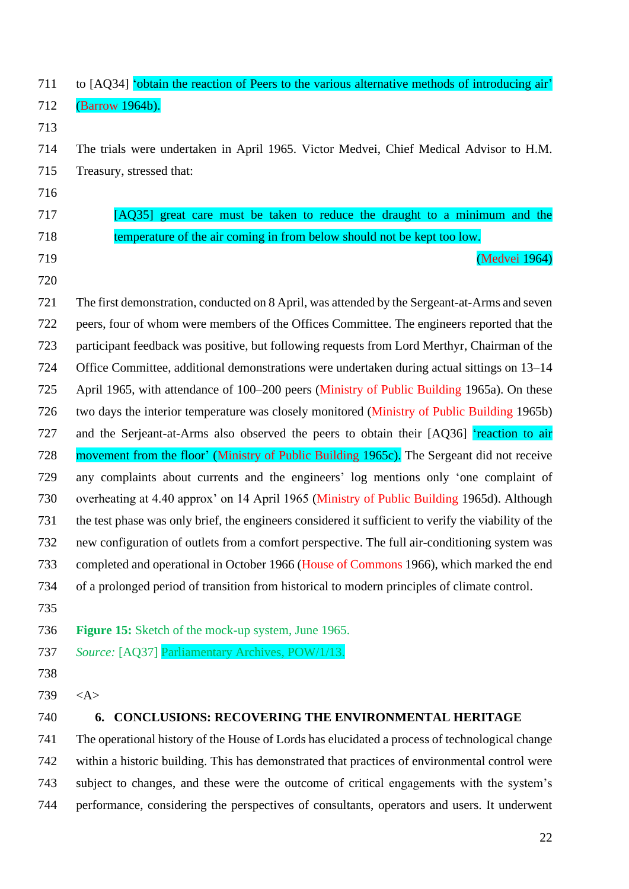| 711 | to [AQ34] 'obtain the reaction of Peers to the various alternative methods of introducing air'       |
|-----|------------------------------------------------------------------------------------------------------|
| 712 | (Barrow 1964b).                                                                                      |
| 713 |                                                                                                      |
| 714 | The trials were undertaken in April 1965. Victor Medvei, Chief Medical Advisor to H.M.               |
| 715 | Treasury, stressed that:                                                                             |
| 716 |                                                                                                      |
| 717 | [AQ35] great care must be taken to reduce the draught to a minimum and the                           |
| 718 | temperature of the air coming in from below should not be kept too low.                              |
| 719 | (Medvei 1964)                                                                                        |
| 720 |                                                                                                      |
| 721 | The first demonstration, conducted on 8 April, was attended by the Sergeant-at-Arms and seven        |
| 722 | peers, four of whom were members of the Offices Committee. The engineers reported that the           |
| 723 | participant feedback was positive, but following requests from Lord Merthyr, Chairman of the         |
| 724 | Office Committee, additional demonstrations were undertaken during actual sittings on 13–14          |
| 725 | April 1965, with attendance of 100–200 peers (Ministry of Public Building 1965a). On these           |
| 726 | two days the interior temperature was closely monitored (Ministry of Public Building 1965b)          |
| 727 | and the Serjeant-at-Arms also observed the peers to obtain their [AQ36] 'reaction to air             |
| 728 | movement from the floor' (Ministry of Public Building 1965c). The Sergeant did not receive           |
| 729 | any complaints about currents and the engineers' log mentions only 'one complaint of                 |
| 730 | overheating at 4.40 approx' on 14 April 1965 (Ministry of Public Building 1965d). Although           |
| 731 | the test phase was only brief, the engineers considered it sufficient to verify the viability of the |
| 732 | new configuration of outlets from a comfort perspective. The full air-conditioning system was        |
| 733 | completed and operational in October 1966 (House of Commons 1966), which marked the end              |
| 734 | of a prolonged period of transition from historical to modern principles of climate control.         |
| 735 |                                                                                                      |
| 736 | <b>Figure 15:</b> Sketch of the mock-up system, June 1965.                                           |
| 737 | Source: [AQ37] Parliamentary Archives, POW/1/13.                                                     |
| 738 |                                                                                                      |
| 739 | $<\!A>$                                                                                              |
| 740 | <b>CONCLUSIONS: RECOVERING THE ENVIRONMENTAL HERITAGE</b><br>6.                                      |
| 741 | The operational history of the House of Lords has elucidated a process of technological change       |
| 742 | within a historic building. This has demonstrated that practices of environmental control were       |
| 743 | subject to changes, and these were the outcome of critical engagements with the system's             |
| 744 | performance, considering the perspectives of consultants, operators and users. It underwent          |
|     |                                                                                                      |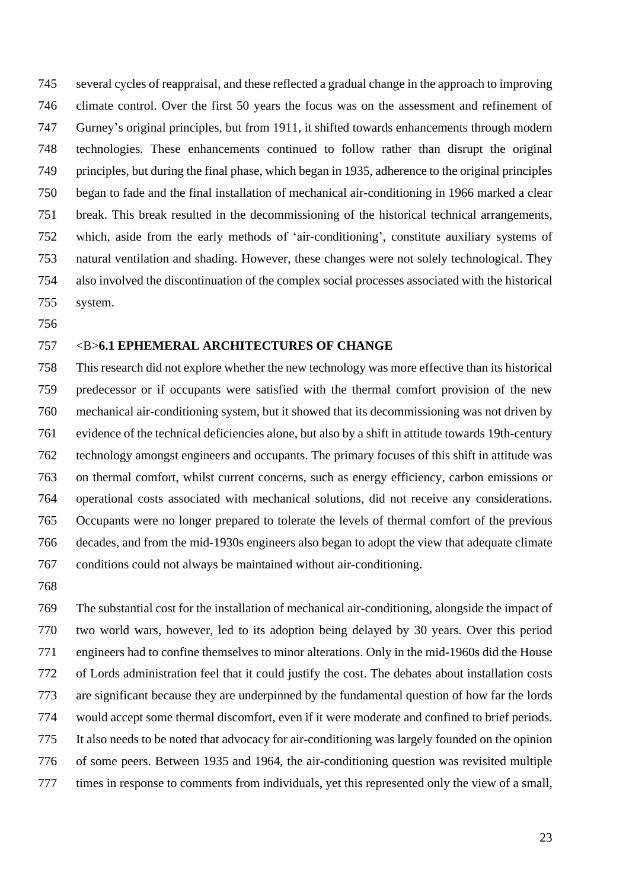several cycles of reappraisal, and these reflected a gradual change in the approach to improving climate control. Over the first 50 years the focus was on the assessment and refinement of Gurney's original principles, but from 1911, it shifted towards enhancements through modern technologies. These enhancements continued to follow rather than disrupt the original principles, but during the final phase, which began in 1935, adherence to the original principles began to fade and the final installation of mechanical air-conditioning in 1966 marked a clear break. This break resulted in the decommissioning of the historical technical arrangements, which, aside from the early methods of 'air-conditioning', constitute auxiliary systems of natural ventilation and shading. However, these changes were not solely technological. They also involved the discontinuation of the complex social processes associated with the historical system.

### <B>**6.1 EPHEMERAL ARCHITECTURES OF CHANGE**

 This research did not explore whether the new technology was more effective than its historical predecessor or if occupants were satisfied with the thermal comfort provision of the new mechanical air-conditioning system, but it showed that its decommissioning was not driven by evidence of the technical deficiencies alone, but also by a shift in attitude towards 19th-century technology amongst engineers and occupants. The primary focuses of this shift in attitude was on thermal comfort, whilst current concerns, such as energy efficiency, carbon emissions or operational costs associated with mechanical solutions, did not receive any considerations. Occupants were no longer prepared to tolerate the levels of thermal comfort of the previous decades, and from the mid-1930s engineers also began to adopt the view that adequate climate conditions could not always be maintained without air-conditioning.

 The substantial cost for the installation of mechanical air-conditioning, alongside the impact of two world wars, however, led to its adoption being delayed by 30 years. Over this period engineers had to confine themselves to minor alterations. Only in the mid-1960s did the House of Lords administration feel that it could justify the cost. The debates about installation costs are significant because they are underpinned by the fundamental question of how far the lords would accept some thermal discomfort, even if it were moderate and confined to brief periods. It also needs to be noted that advocacy for air-conditioning was largely founded on the opinion of some peers. Between 1935 and 1964, the air-conditioning question was revisited multiple times in response to comments from individuals, yet this represented only the view of a small,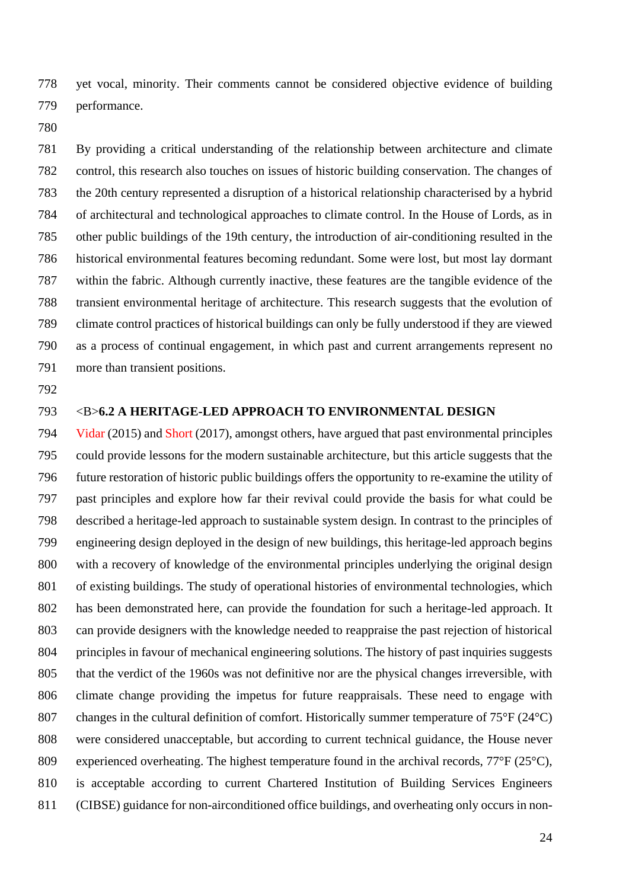yet vocal, minority. Their comments cannot be considered objective evidence of building performance.

 By providing a critical understanding of the relationship between architecture and climate control, this research also touches on issues of historic building conservation. The changes of the 20th century represented a disruption of a historical relationship characterised by a hybrid of architectural and technological approaches to climate control. In the House of Lords, as in other public buildings of the 19th century, the introduction of air-conditioning resulted in the historical environmental features becoming redundant. Some were lost, but most lay dormant within the fabric. Although currently inactive, these features are the tangible evidence of the transient environmental heritage of architecture. This research suggests that the evolution of climate control practices of historical buildings can only be fully understood if they are viewed as a process of continual engagement, in which past and current arrangements represent no more than transient positions.

### <B>**6.2 A HERITAGE-LED APPROACH TO ENVIRONMENTAL DESIGN**

 Vidar (2015) and Short (2017), amongst others, have argued that past environmental principles could provide lessons for the modern sustainable architecture, but this article suggests that the future restoration of historic public buildings offers the opportunity to re-examine the utility of past principles and explore how far their revival could provide the basis for what could be described a heritage-led approach to sustainable system design. In contrast to the principles of engineering design deployed in the design of new buildings, this heritage-led approach begins with a recovery of knowledge of the environmental principles underlying the original design of existing buildings. The study of operational histories of environmental technologies, which has been demonstrated here, can provide the foundation for such a heritage-led approach. It can provide designers with the knowledge needed to reappraise the past rejection of historical principles in favour of mechanical engineering solutions. The history of past inquiries suggests that the verdict of the 1960s was not definitive nor are the physical changes irreversible, with climate change providing the impetus for future reappraisals. These need to engage with changes in the cultural definition of comfort. Historically summer temperature of 75°F (24°C) were considered unacceptable, but according to current technical guidance, the House never experienced overheating. The highest temperature found in the archival records, 77°F (25°C), is acceptable according to current Chartered Institution of Building Services Engineers (CIBSE) guidance for non-airconditioned office buildings, and overheating only occurs in non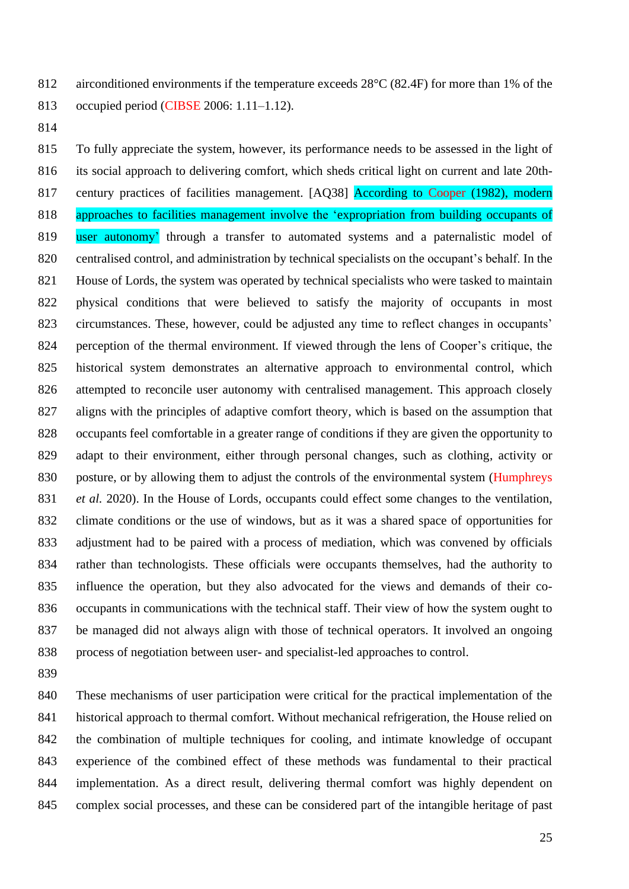812 airconditioned environments if the temperature exceeds 28<sup>o</sup>C (82.4F) for more than 1% of the occupied period (CIBSE 2006: 1.11–1.12).

 To fully appreciate the system, however, its performance needs to be assessed in the light of its social approach to delivering comfort, which sheds critical light on current and late 20th-817 century practices of facilities management. [AQ38] According to Cooper (1982), modern approaches to facilities management involve the 'expropriation from building occupants of 819 user autonomy' through a transfer to automated systems and a paternalistic model of centralised control, and administration by technical specialists on the occupant's behalf. In the House of Lords, the system was operated by technical specialists who were tasked to maintain physical conditions that were believed to satisfy the majority of occupants in most circumstances. These, however, could be adjusted any time to reflect changes in occupants' perception of the thermal environment. If viewed through the lens of Cooper's critique, the historical system demonstrates an alternative approach to environmental control, which attempted to reconcile user autonomy with centralised management. This approach closely aligns with the principles of adaptive comfort theory, which is based on the assumption that occupants feel comfortable in a greater range of conditions if they are given the opportunity to adapt to their environment, either through personal changes, such as clothing, activity or 830 posture, or by allowing them to adjust the controls of the environmental system (Humphreys *et al.* 2020). In the House of Lords, occupants could effect some changes to the ventilation, climate conditions or the use of windows, but as it was a shared space of opportunities for adjustment had to be paired with a process of mediation, which was convened by officials rather than technologists. These officials were occupants themselves, had the authority to influence the operation, but they also advocated for the views and demands of their co- occupants in communications with the technical staff. Their view of how the system ought to be managed did not always align with those of technical operators. It involved an ongoing process of negotiation between user- and specialist-led approaches to control.

 These mechanisms of user participation were critical for the practical implementation of the historical approach to thermal comfort. Without mechanical refrigeration, the House relied on the combination of multiple techniques for cooling, and intimate knowledge of occupant experience of the combined effect of these methods was fundamental to their practical implementation. As a direct result, delivering thermal comfort was highly dependent on complex social processes, and these can be considered part of the intangible heritage of past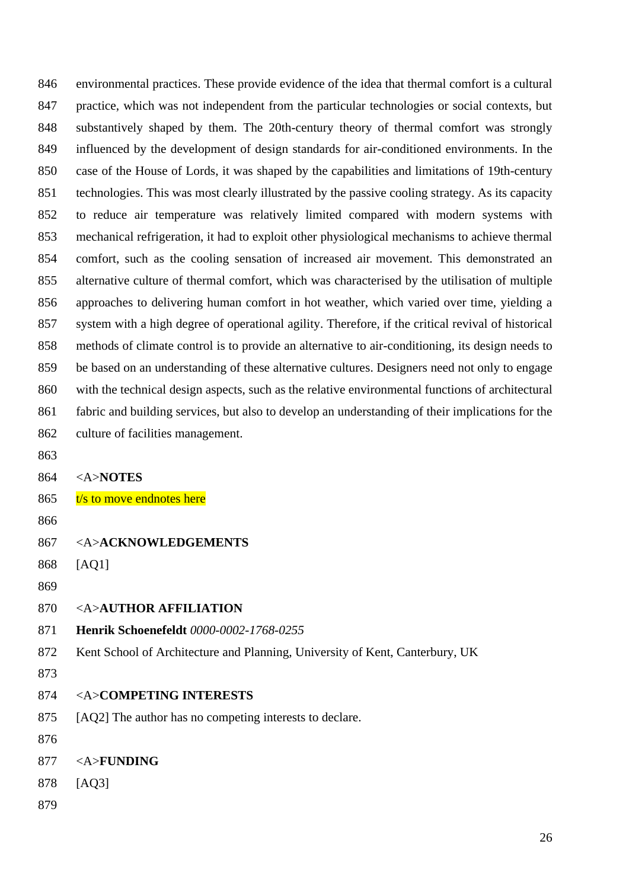environmental practices. These provide evidence of the idea that thermal comfort is a cultural practice, which was not independent from the particular technologies or social contexts, but substantively shaped by them. The 20th-century theory of thermal comfort was strongly influenced by the development of design standards for air-conditioned environments. In the case of the House of Lords, it was shaped by the capabilities and limitations of 19th-century technologies. This was most clearly illustrated by the passive cooling strategy. As its capacity to reduce air temperature was relatively limited compared with modern systems with mechanical refrigeration, it had to exploit other physiological mechanisms to achieve thermal comfort, such as the cooling sensation of increased air movement. This demonstrated an alternative culture of thermal comfort, which was characterised by the utilisation of multiple approaches to delivering human comfort in hot weather, which varied over time, yielding a system with a high degree of operational agility. Therefore, if the critical revival of historical methods of climate control is to provide an alternative to air-conditioning, its design needs to be based on an understanding of these alternative cultures. Designers need not only to engage with the technical design aspects, such as the relative environmental functions of architectural fabric and building services, but also to develop an understanding of their implications for the culture of facilities management.

- 
- <A>**NOTES**
- 865  $t/s$  to move endnotes here
- 
- <A>**ACKNOWLEDGEMENTS**
- [AQ1]
- 
- <A>**AUTHOR AFFILIATION**
- **Henrik Schoenefeldt** *0000-0002-1768-0255*
- Kent School of Architecture and Planning, University of Kent, Canterbury, UK
- 
- <A>**COMPETING INTERESTS**
- [AQ2] The author has no competing interests to declare.
- 
- <A>**FUNDING**
- [AQ3]
-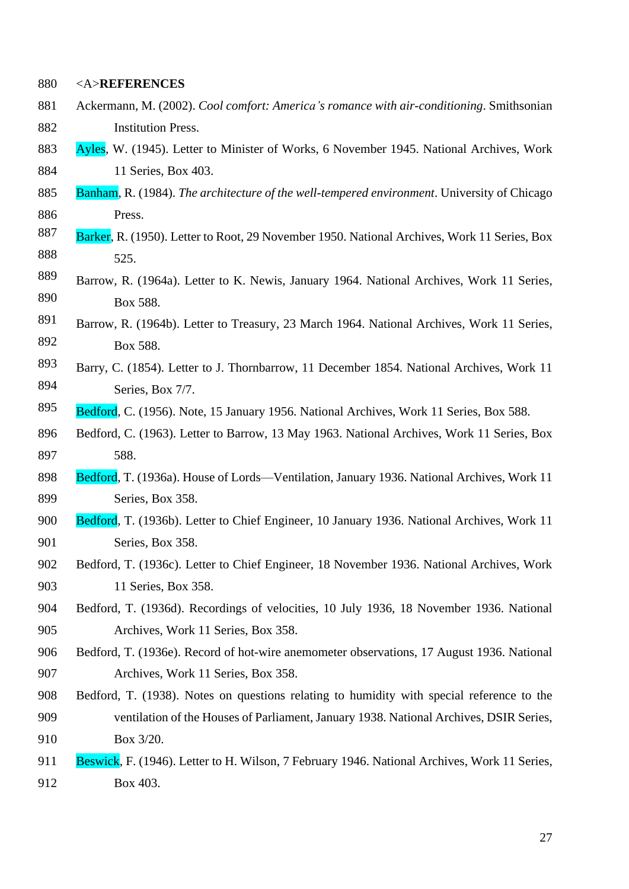<A>**REFERENCES**

- Ackermann, M. (2002). *Cool comfort: America's romance with air-conditioning*. Smithsonian Institution Press.
- 883 Ayles, W. (1945). Letter to Minister of Works, 6 November 1945. National Archives, Work 11 Series, Box 403.
- Banham, R. (1984). *The architecture of the well-tempered environment*. University of Chicago Press.
- 887 Barker, R. (1950). Letter to Root, 29 November 1950. National Archives, Work 11 Series, Box 525.
- 889 Barrow, R. (1964a). Letter to K. Newis, January 1964. National Archives, Work 11 Series, 890 Box 588.
- 891 Barrow, R. (1964b). Letter to Treasury, 23 March 1964. National Archives, Work 11 Series, 892 Box 588.
- 893 Barry, C. (1854). Letter to J. Thornbarrow, 11 December 1854. National Archives, Work 11 **Series**, Box 7/7.
- 895 Bedford, C. (1956). Note, 15 January 1956. National Archives, Work 11 Series, Box 588.
- Bedford, C. (1963). Letter to Barrow, 13 May 1963. National Archives, Work 11 Series, Box 588.
- 898 Bedford, T. (1936a). House of Lords—Ventilation, January 1936. National Archives, Work 11 Series, Box 358.
- 900 Bedford, T. (1936b). Letter to Chief Engineer, 10 January 1936. National Archives, Work 11 Series, Box 358.
- Bedford, T. (1936c). Letter to Chief Engineer, 18 November 1936. National Archives, Work 11 Series, Box 358.
- Bedford, T. (1936d). Recordings of velocities, 10 July 1936, 18 November 1936. National Archives, Work 11 Series, Box 358.
- Bedford, T. (1936e). Record of hot-wire anemometer observations, 17 August 1936. National Archives, Work 11 Series, Box 358.
- Bedford, T. (1938). Notes on questions relating to humidity with special reference to the ventilation of the Houses of Parliament, January 1938. National Archives, DSIR Series, Box 3/20.
- Beswick, F. (1946). Letter to H. Wilson, 7 February 1946. National Archives, Work 11 Series, Box 403.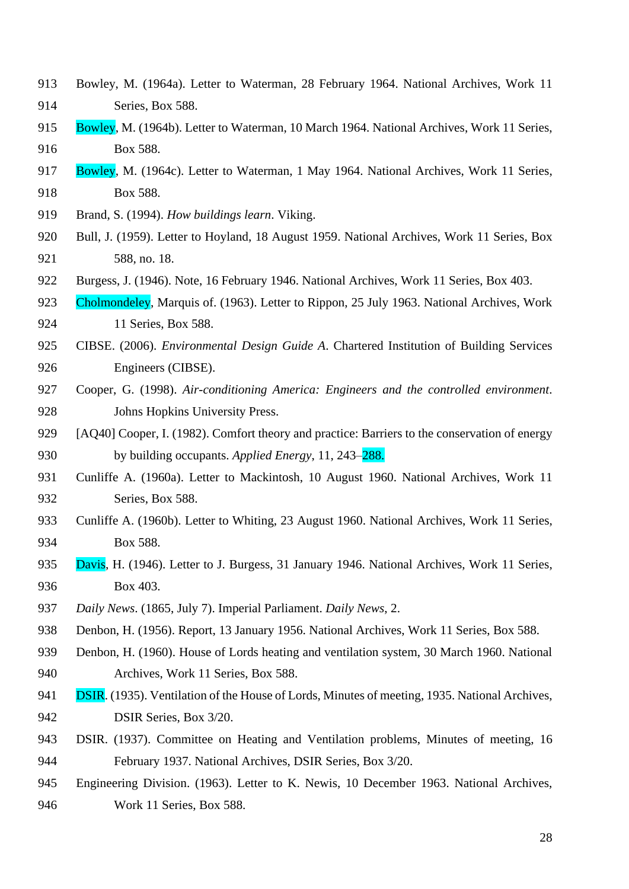- Bowley, M. (1964a). Letter to Waterman, 28 February 1964. National Archives, Work 11 Series, Box 588.
- 915 Bowley, M. (1964b). Letter to Waterman, 10 March 1964. National Archives, Work 11 Series, Box 588.
- 917 Bowley, M. (1964c). Letter to Waterman, 1 May 1964. National Archives, Work 11 Series, Box 588.
- Brand, S. (1994). *How buildings learn*. Viking.
- Bull, J. (1959). Letter to Hoyland, 18 August 1959. National Archives, Work 11 Series, Box 588, no. 18.
- Burgess, J. (1946). Note, 16 February 1946. National Archives, Work 11 Series, Box 403.
- 923 Cholmondeley, Marquis of. (1963). Letter to Rippon, 25 July 1963. National Archives, Work 11 Series, Box 588.
- CIBSE. (2006). *Environmental Design Guide A*. Chartered Institution of Building Services Engineers (CIBSE).
- Cooper, G. (1998). *Air-conditioning America: Engineers and the controlled environment*. Johns Hopkins University Press.
- 929 [AQ40] Cooper, I. (1982). Comfort theory and practice: Barriers to the conservation of energy by building occupants. *Applied Energy*, 11, 243–288.
- Cunliffe A. (1960a). Letter to Mackintosh, 10 August 1960. National Archives, Work 11 Series, Box 588.
- Cunliffe A. (1960b). Letter to Whiting, 23 August 1960. National Archives, Work 11 Series, Box 588.
- 935 Davis, H. (1946). Letter to J. Burgess, 31 January 1946. National Archives, Work 11 Series, Box 403.
- *Daily News*. (1865, July 7). Imperial Parliament. *Daily News*, 2.
- Denbon, H. (1956). Report, 13 January 1956. National Archives, Work 11 Series, Box 588.
- Denbon, H. (1960). House of Lords heating and ventilation system, 30 March 1960. National Archives, Work 11 Series, Box 588.
- **DSIR.** (1935). Ventilation of the House of Lords, Minutes of meeting, 1935. National Archives, DSIR Series, Box 3/20.
- DSIR. (1937). Committee on Heating and Ventilation problems, Minutes of meeting, 16 February 1937. National Archives, DSIR Series, Box 3/20.
- Engineering Division. (1963). Letter to K. Newis, 10 December 1963. National Archives, Work 11 Series, Box 588.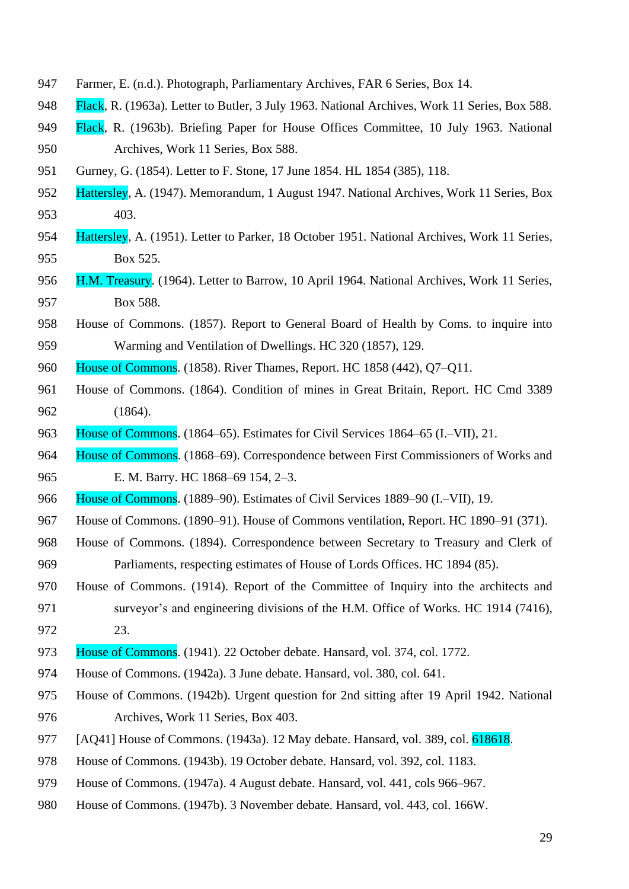- Farmer, E. (n.d.). Photograph, Parliamentary Archives, FAR 6 Series, Box 14.
- Flack, R. (1963a). Letter to Butler, 3 July 1963. National Archives, Work 11 Series, Box 588.
- Flack, R. (1963b). Briefing Paper for House Offices Committee, 10 July 1963. National Archives, Work 11 Series, Box 588.
- Gurney, G. (1854). Letter to F. Stone, 17 June 1854. HL 1854 (385), 118.
- Hattersley, A. (1947). Memorandum, 1 August 1947. National Archives, Work 11 Series, Box 403.
- Hattersley, A. (1951). Letter to Parker, 18 October 1951. National Archives, Work 11 Series, Box 525.
- 956 H.M. Treasury. (1964). Letter to Barrow, 10 April 1964. National Archives, Work 11 Series, Box 588.
- House of Commons. (1857). Report to General Board of Health by Coms. to inquire into Warming and Ventilation of Dwellings. HC 320 (1857), 129.
- House of Commons. (1858). River Thames, Report. HC 1858 (442), Q7–Q11.
- House of Commons. (1864). Condition of mines in Great Britain, Report. HC Cmd 3389 (1864).
- House of Commons. (1864–65). Estimates for Civil Services 1864–65 (I.–VII), 21.
- House of Commons. (1868–69). Correspondence between First Commissioners of Works and E. M. Barry. HC 1868–69 154, 2–3.
- 966 House of Commons. (1889–90). Estimates of Civil Services 1889–90 (I.–VII), 19.
- House of Commons. (1890–91). House of Commons ventilation, Report. HC 1890–91 (371).
- House of Commons. (1894). Correspondence between Secretary to Treasury and Clerk of Parliaments, respecting estimates of House of Lords Offices. HC 1894 (85).
- House of Commons. (1914). Report of the Committee of Inquiry into the architects and surveyor's and engineering divisions of the H.M. Office of Works. HC 1914 (7416), 23.
- House of Commons. (1941). 22 October debate. Hansard, vol. 374, col. 1772.
- House of Commons. (1942a). 3 June debate. Hansard, vol. 380, col. 641.
- House of Commons. (1942b). Urgent question for 2nd sitting after 19 April 1942. National Archives, Work 11 Series, Box 403.
- [AQ41] House of Commons. (1943a). 12 May debate. Hansard, vol. 389, col. 618618.
- House of Commons. (1943b). 19 October debate. Hansard, vol. 392, col. 1183.
- House of Commons. (1947a). 4 August debate. Hansard, vol. 441, cols 966–967.
- House of Commons. (1947b). 3 November debate. Hansard, vol. 443, col. 166W.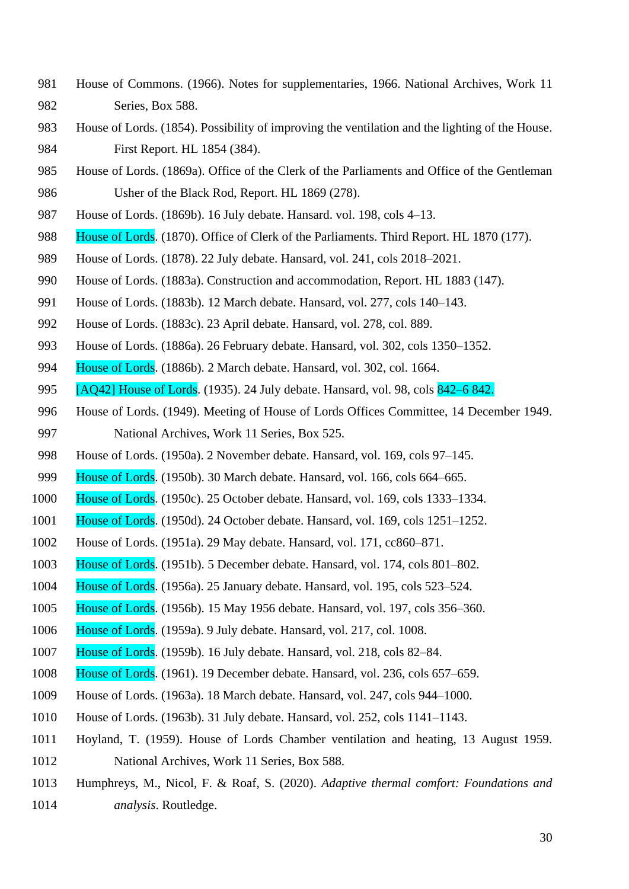- House of Commons. (1966). Notes for supplementaries, 1966. National Archives, Work 11 Series, Box 588.
- House of Lords. (1854). Possibility of improving the ventilation and the lighting of the House. First Report. HL 1854 (384).
- House of Lords. (1869a). Office of the Clerk of the Parliaments and Office of the Gentleman Usher of the Black Rod, Report. HL 1869 (278).
- House of Lords. (1869b). 16 July debate. Hansard. vol. 198, cols 4–13.
- 988 House of Lords. (1870). Office of Clerk of the Parliaments. Third Report. HL 1870 (177).
- House of Lords. (1878). 22 July debate. Hansard, vol. 241, cols 2018–2021.
- House of Lords. (1883a). Construction and accommodation, Report. HL 1883 (147).
- House of Lords. (1883b). 12 March debate. Hansard, vol. 277, cols 140–143.
- House of Lords. (1883c). 23 April debate. Hansard, vol. 278, col. 889.
- House of Lords. (1886a). 26 February debate. Hansard, vol. 302, cols 1350–1352.
- House of Lords. (1886b). 2 March debate. Hansard, vol. 302, col. 1664.
- [AQ42] House of Lords. (1935). 24 July debate. Hansard, vol. 98, cols 842–6 842.
- House of Lords. (1949). Meeting of House of Lords Offices Committee, 14 December 1949. National Archives, Work 11 Series, Box 525.
- House of Lords. (1950a). 2 November debate. Hansard, vol. 169, cols 97–145.
- House of Lords. (1950b). 30 March debate. Hansard, vol. 166, cols 664–665.
- House of Lords. (1950c). 25 October debate. Hansard, vol. 169, cols 1333–1334.
- House of Lords. (1950d). 24 October debate. Hansard, vol. 169, cols 1251–1252.
- House of Lords. (1951a). 29 May debate. Hansard, vol. 171, cc860–871.
- House of Lords. (1951b). 5 December debate. Hansard, vol. 174, cols 801–802.
- House of Lords. (1956a). 25 January debate. Hansard, vol. 195, cols 523–524.
- House of Lords. (1956b). 15 May 1956 debate. Hansard, vol. 197, cols 356–360.
- House of Lords. (1959a). 9 July debate. Hansard, vol. 217, col. 1008.
- House of Lords. (1959b). 16 July debate. Hansard, vol. 218, cols 82–84.
- House of Lords. (1961). 19 December debate. Hansard, vol. 236, cols 657–659.
- House of Lords. (1963a). 18 March debate. Hansard, vol. 247, cols 944–1000.
- House of Lords. (1963b). 31 July debate. Hansard, vol. 252, cols 1141–1143.
- Hoyland, T. (1959). House of Lords Chamber ventilation and heating, 13 August 1959. National Archives, Work 11 Series, Box 588.
- Humphreys, M., Nicol, F. & Roaf, S. (2020). *Adaptive thermal comfort: Foundations and analysis*. Routledge.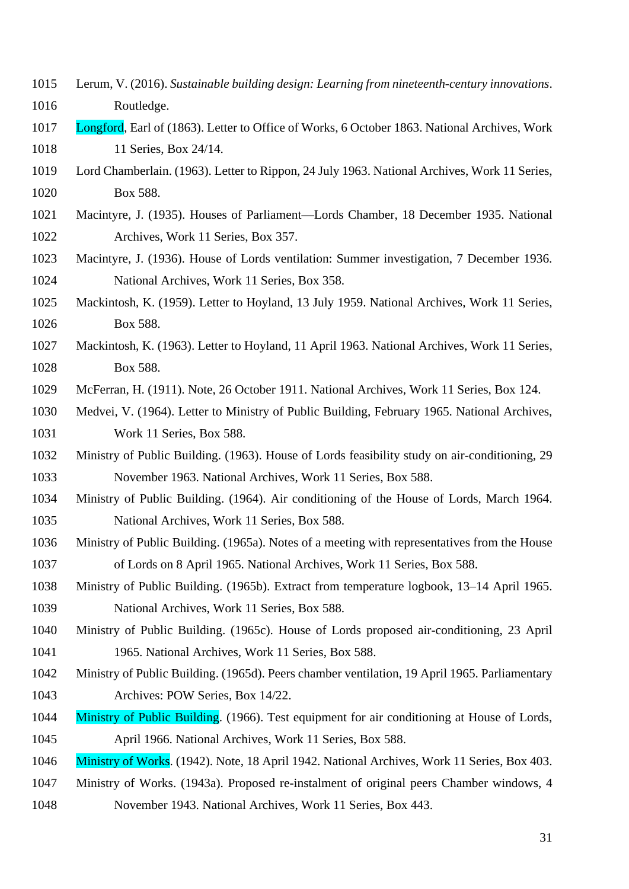- Lerum, V. (2016). *Sustainable building design: Learning from nineteenth-century innovations*. Routledge.
- Longford, Earl of (1863). Letter to Office of Works, 6 October 1863. National Archives, Work 1018 11 Series, Box 24/14.
- Lord Chamberlain. (1963). Letter to Rippon, 24 July 1963. National Archives, Work 11 Series, Box 588.
- Macintyre, J. (1935). Houses of Parliament—Lords Chamber, 18 December 1935. National Archives, Work 11 Series, Box 357.
- Macintyre, J. (1936). House of Lords ventilation: Summer investigation, 7 December 1936. National Archives, Work 11 Series, Box 358.
- Mackintosh, K. (1959). Letter to Hoyland, 13 July 1959. National Archives, Work 11 Series, Box 588.
- Mackintosh, K. (1963). Letter to Hoyland, 11 April 1963. National Archives, Work 11 Series, Box 588.
- McFerran, H. (1911). Note, 26 October 1911. National Archives, Work 11 Series, Box 124.
- Medvei, V. (1964). Letter to Ministry of Public Building, February 1965. National Archives, Work 11 Series, Box 588.
- Ministry of Public Building. (1963). House of Lords feasibility study on air-conditioning, 29 November 1963. National Archives, Work 11 Series, Box 588.
- Ministry of Public Building. (1964). Air conditioning of the House of Lords, March 1964. National Archives, Work 11 Series, Box 588.
- Ministry of Public Building. (1965a). Notes of a meeting with representatives from the House of Lords on 8 April 1965. National Archives, Work 11 Series, Box 588.
- Ministry of Public Building. (1965b). Extract from temperature logbook, 13–14 April 1965. National Archives, Work 11 Series, Box 588.
- Ministry of Public Building. (1965c). House of Lords proposed air-conditioning, 23 April 1965. National Archives, Work 11 Series, Box 588.
- Ministry of Public Building. (1965d). Peers chamber ventilation, 19 April 1965. Parliamentary Archives: POW Series, Box 14/22.
- 1044 Ministry of Public Building. (1966). Test equipment for air conditioning at House of Lords, April 1966. National Archives, Work 11 Series, Box 588.
- Ministry of Works. (1942). Note, 18 April 1942. National Archives, Work 11 Series, Box 403.
- Ministry of Works. (1943a). Proposed re-instalment of original peers Chamber windows, 4 November 1943. National Archives, Work 11 Series, Box 443.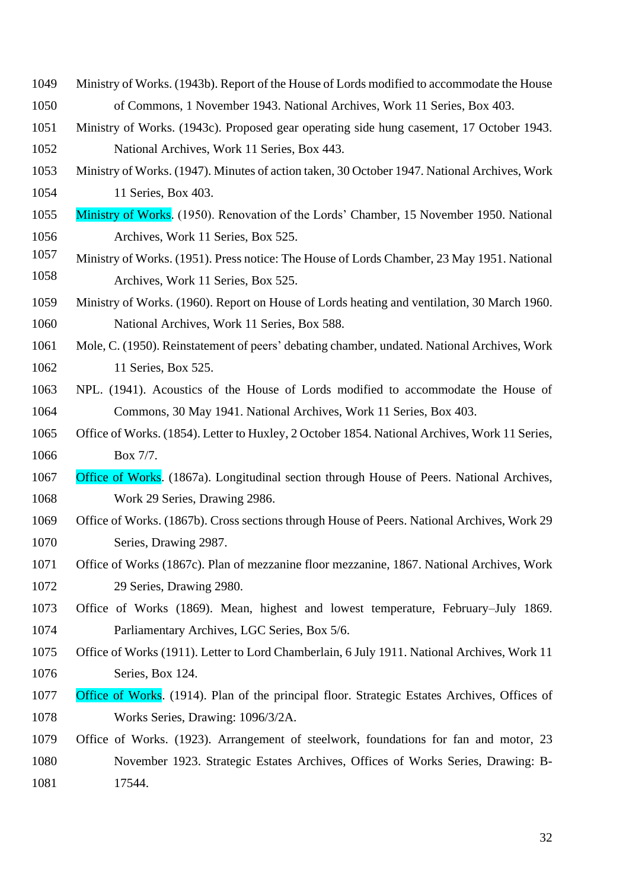- Ministry of Works. (1943b). Report of the House of Lords modified to accommodate the House of Commons, 1 November 1943. National Archives, Work 11 Series, Box 403.
- Ministry of Works. (1943c). Proposed gear operating side hung casement, 17 October 1943. National Archives, Work 11 Series, Box 443.
- Ministry of Works. (1947). Minutes of action taken, 30 October 1947. National Archives, Work 11 Series, Box 403.
- Ministry of Works. (1950). Renovation of the Lords' Chamber, 15 November 1950. National Archives, Work 11 Series, Box 525.
- 1057 Ministry of Works. (1951). Press notice: The House of Lords Chamber, 23 May 1951. National 1058 Archives, Work 11 Series, Box 525.
- Ministry of Works. (1960). Report on House of Lords heating and ventilation, 30 March 1960. National Archives, Work 11 Series, Box 588.
- Mole, C. (1950). Reinstatement of peers' debating chamber, undated. National Archives, Work 11 Series, Box 525.
- NPL. (1941). Acoustics of the House of Lords modified to accommodate the House of Commons, 30 May 1941. National Archives, Work 11 Series, Box 403.
- Office of Works. (1854). Letter to Huxley, 2 October 1854. National Archives, Work 11 Series, Box 7/7.
- Office of Works. (1867a). Longitudinal section through House of Peers. National Archives, Work 29 Series, Drawing 2986.
- Office of Works. (1867b). Cross sections through House of Peers. National Archives, Work 29 Series, Drawing 2987.
- Office of Works (1867c). Plan of mezzanine floor mezzanine, 1867. National Archives, Work 29 Series, Drawing 2980.
- Office of Works (1869). Mean, highest and lowest temperature, February–July 1869. Parliamentary Archives, LGC Series, Box 5/6.
- Office of Works (1911). Letter to Lord Chamberlain, 6 July 1911. National Archives, Work 11 Series, Box 124.
- Office of Works. (1914). Plan of the principal floor. Strategic Estates Archives, Offices of Works Series, Drawing: 1096/3/2A.
- Office of Works. (1923). Arrangement of steelwork, foundations for fan and motor, 23 November 1923. Strategic Estates Archives, Offices of Works Series, Drawing: B-17544.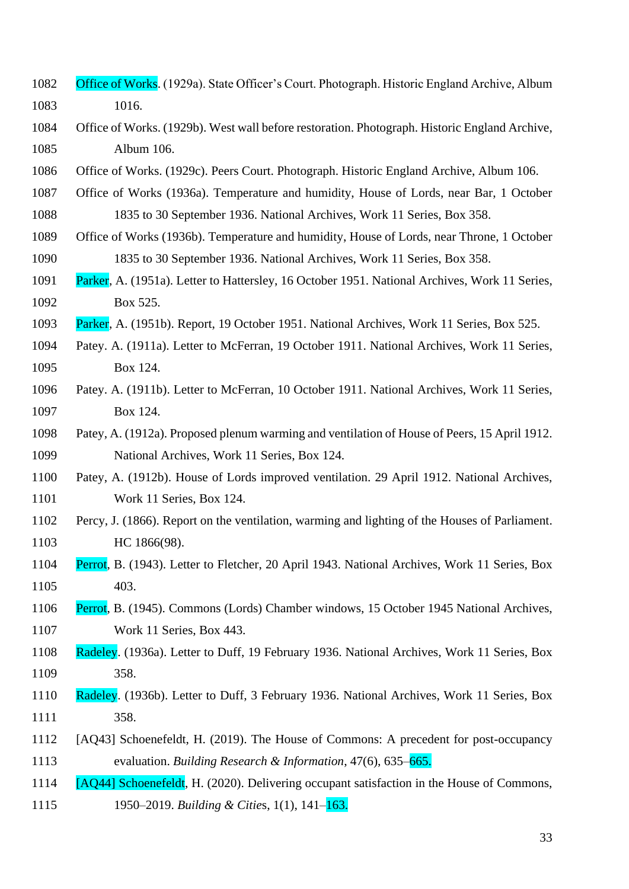- Office of Works. (1929a). State Officer's Court. Photograph. Historic England Archive, Album 1016.
- Office of Works. (1929b). West wall before restoration. Photograph. Historic England Archive, Album 106.
- Office of Works. (1929c). Peers Court. Photograph. Historic England Archive, Album 106.
- Office of Works (1936a). Temperature and humidity, House of Lords, near Bar, 1 October 1835 to 30 September 1936. National Archives, Work 11 Series, Box 358.
- Office of Works (1936b). Temperature and humidity, House of Lords, near Throne, 1 October 1835 to 30 September 1936. National Archives, Work 11 Series, Box 358.
- Parker, A. (1951a). Letter to Hattersley, 16 October 1951. National Archives, Work 11 Series, Box 525.
- Parker, A. (1951b). Report, 19 October 1951. National Archives, Work 11 Series, Box 525.
- Patey. A. (1911a). Letter to McFerran, 19 October 1911. National Archives, Work 11 Series, Box 124.
- Patey. A. (1911b). Letter to McFerran, 10 October 1911. National Archives, Work 11 Series, Box 124.
- Patey, A. (1912a). Proposed plenum warming and ventilation of House of Peers, 15 April 1912. National Archives, Work 11 Series, Box 124.
- Patey, A. (1912b). House of Lords improved ventilation. 29 April 1912. National Archives, Work 11 Series, Box 124.
- Percy, J. (1866). Report on the ventilation, warming and lighting of the Houses of Parliament. 1103 HC 1866(98).
- Perrot, B. (1943). Letter to Fletcher, 20 April 1943. National Archives, Work 11 Series, Box 403.
- Perrot, B. (1945). Commons (Lords) Chamber windows, 15 October 1945 National Archives, Work 11 Series, Box 443.
- Radeley. (1936a). Letter to Duff, 19 February 1936. National Archives, Work 11 Series, Box 358.
- Radeley. (1936b). Letter to Duff, 3 February 1936. National Archives, Work 11 Series, Box 358.
- [AQ43] Schoenefeldt, H. (2019). The House of Commons: A precedent for post-occupancy evaluation. *Building Research & Information*, 47(6), 635–665.
- [AQ44] Schoenefeldt, H. (2020). Delivering occupant satisfaction in the House of Commons, 1950–2019. *Building & Citie*s, 1(1), 141–163.